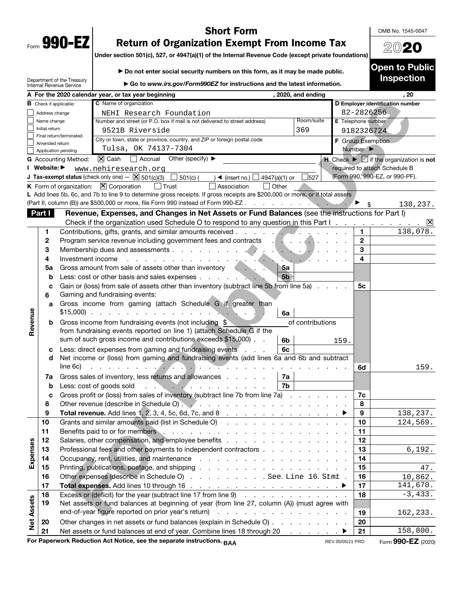| Form | non<br>u<br>ι. |  |
|------|----------------|--|
|      |                |  |

# **Short Form**

OMB No. 1545-0047

20**20**

**Open to Public** 

# **Return of Organization Exempt From Income Tax**

**Return of Organization Exempt From Income Tax Under section 501(c), 527, or 4947(a)(1) of the Internal Revenue Code (except private foundations)**

▶ Do not enter social security numbers on this form, as it may be made public.

**Inspection**  Department of the Treasury ▶ Go to *www.irs.gov/Form990EZ* for instructions and the latest information.<br>tax year beginning (2020, and ending Internal Revenue Service **A For the 2020 calendar year, or tax year beginning the ending term of the set of the 2020, and ending the set of the set of the set of the set of the set of the set of the set of the set of the set of the set of the set For Public International Characteristics**<br> **For Public Use and Characteristics** of the state of the state of the state of the state of the state of the state of the state of the state of the state of the state of the sta **C** Name of organization **B** Check if applicable: **D Employer identification number**  NEHI Research Foundation 82-2826256 Address change Name change Number and street (or P.O. box if mail is not delivered to street address) Room/suite **E** Telephone number Initial return 9521B Riverside 369 9182326724 Final return/terminated City or town, state or province, country, and ZIP or foreign postal code **F** Group Exemption Amended return Tulsa, OK 74137-7304 Number  $\blacktriangleright$ Application pending **G** Accounting Method:  $\boxed{\mathbf{X}}$  Cash  $\boxed{\phantom{+}}$  Accrual Other (specify) **A H Check >**  $\boxed{\phantom{+}}$  if the organization is **not** required to attach Schedule B **I** Website: ▶ www.nehiresearch.org (Form 990, 990-EZ, or 990-PF). **J Tax-exempt status** (check only one)  $\boxtimes$  501(c)(3)  $\Box$  501(c) ( ) < (insert no.)  $\Box$  4947(a)(1) or  $\Box$ 527 **K** Form of organization:  $\boxed{\mathbf{X}}$  Corporation  $\boxed{\phantom{a}}$  Trust  $\boxed{\phantom{a}}$  Association  $\boxed{\phantom{a}}$  Other L Add lines 5b, 6c, and 7b to line 9 to determine gross receipts. If gross receipts are \$200,000 or more, or if total assets (Part II, column (B)) are \$500,000 or more, file Form 990 instead of Form 990-EZ. 138,237. **Part I** Revenue, Expenses, and Changes in Net Assets or Fund Balances (see the instructions for Part I) Check if the organization used Schedule O to respond to any question in this Part I  $|\mathsf{X}|$ **1** Contributions, gifts, grants, and similar amounts received ............. **1**  138,078. **2** Program service revenue including government fees and contracts ......... **2 3** Membership dues and assessments .................... **3 4** Investment income ......................... **4 5 a** Gross amount from sale of assets other than inventory .... **5a b** Less: cost or other basis and sales expenses . . . . . . . . . . 5**b c** Gain or (loss) from sale of assets other than inventory (subtract line 5b from line 5a) .... **5c 6** Gaming and fundraising events: **a** Gross income from gaming (attach Schedule G if greater than **Revenue**  Revenue \$15,000) .................... **6a b** Gross income from fundraising events (not including \$ of contributions from fundraising events reported on line 1) (attach Schedule G if the sum of such gross income and contributions exceeds \$15,000) . . **6b** 159. **c** Less: direct expenses from gaming and fundraising events . . . **6c d** Net income or (loss) from gaming and fundraising events (add lines 6a and 6b and subtract line 6c) ............................. **6d** 159. **7 a** Gross sales of inventory, less returns and allowances ..... **7a b** Less: cost of goods sold .............. **7b c** Gross profit or (loss) from sales of inventory (subtract line 7b from line 7a) ....... **7c 8** Other revenue (describe in Schedule O) ................... **8 9 Total revenue.** Add lines 1, 2, 3, 4, 5c, 6d, 7c, and 8 . . . . . . . . . . . . . . . ▶ | 9 138,237. **10** Grants and similar amounts paid (list in Schedule O) .............. **10**  124,569. **11** Benefits paid to or for members ..................... **11 Expenses 12** Salaries, other compensation, and employee benefits .............. **12**  Expenses **13** Professional fees and other payments to independent contractors .......... **13**  6,192. **14** Occupancy, rent, utilities, and maintenance ................. **14 15** Printing, publications, postage, and shipping ................. **15**  47. **16** Other expenses (describe in Schedule O) . . . . . . . . . . See. Line 16. Stmt . | **16** | 10,862. **17 Total expenses.** Add lines 10 through 16 . . . . . . . . . . . . . . . . . <sup>a</sup> **17**  141,670.  $-3,433.$ **18** Excess or (deficit) for the year (subtract line 17 from line 9) ............ **18 Net Assets Net Assets 19** Net assets or fund balances at beginning of year (from line 27, column (A)) (must agree with end-of-year figure reported on prior year's return) . . . . . . . . . . . . . . . . . . | 19 162,233. **20** Other changes in net assets or fund balances (explain in Schedule O) ......... **20**  158,800. **21** Net assets or fund balances at end of year. Combine lines 18 through 20 . . . . . . . ▶ | 21 **For Paperwork Reduction Act Notice, see the separate instructions.**  $A\Lambda$  **<b>Figure 100 COV ACT FOR**   $REN$  **FOR**   $F$  **Form 990-EZ** (2020) **BAA** REV 05/05/21 PRO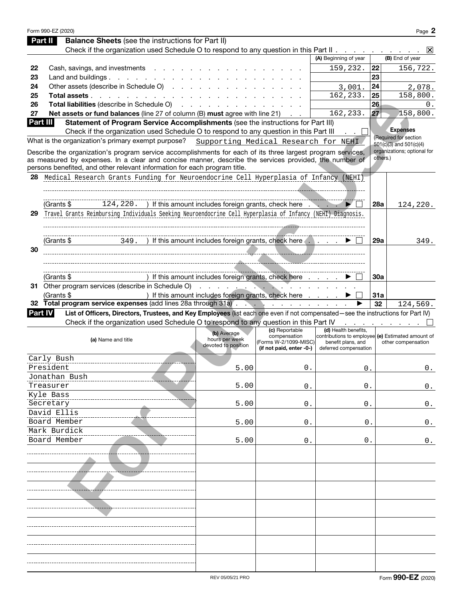|    | Form 990-EZ (2020)                                                                                                                                                                                                                                                                                |                                                      |                                                                                     |                                                                                                                          |                            | Page 2                                   |
|----|---------------------------------------------------------------------------------------------------------------------------------------------------------------------------------------------------------------------------------------------------------------------------------------------------|------------------------------------------------------|-------------------------------------------------------------------------------------|--------------------------------------------------------------------------------------------------------------------------|----------------------------|------------------------------------------|
|    | <b>Balance Sheets</b> (see the instructions for Part II)<br>Part II                                                                                                                                                                                                                               |                                                      |                                                                                     |                                                                                                                          |                            |                                          |
|    | Check if the organization used Schedule O to respond to any question in this Part II $\ldots$                                                                                                                                                                                                     |                                                      |                                                                                     |                                                                                                                          |                            | $ \mathsf{X} $                           |
|    |                                                                                                                                                                                                                                                                                                   |                                                      |                                                                                     | (A) Beginning of year                                                                                                    |                            | (B) End of year                          |
| 22 | Cash, savings, and investments                                                                                                                                                                                                                                                                    |                                                      |                                                                                     | 159,232.                                                                                                                 | 22                         | 156,722.                                 |
| 23 | Land and buildings. $\ldots$ $\ldots$ $\ldots$ $\ldots$ $\ldots$                                                                                                                                                                                                                                  |                                                      |                                                                                     |                                                                                                                          | 23                         |                                          |
| 24 | Other assets (describe in Schedule O)                                                                                                                                                                                                                                                             |                                                      |                                                                                     | 3,001.                                                                                                                   | 24                         | 2,078.                                   |
| 25 | Total assets                                                                                                                                                                                                                                                                                      |                                                      |                                                                                     | 162,233.                                                                                                                 | 25                         | 158,800.                                 |
| 26 | Total liabilities (describe in Schedule O)                                                                                                                                                                                                                                                        |                                                      |                                                                                     |                                                                                                                          | 26                         | 0.                                       |
| 27 | Net assets or fund balances (line 27 of column (B) must agree with line 21)                                                                                                                                                                                                                       |                                                      |                                                                                     | 162,233.                                                                                                                 | 27                         | 158,800.                                 |
|    | Statement of Program Service Accomplishments (see the instructions for Part III)<br><b>Part III</b>                                                                                                                                                                                               |                                                      |                                                                                     |                                                                                                                          |                            |                                          |
|    | Check if the organization used Schedule O to respond to any question in this Part III                                                                                                                                                                                                             |                                                      |                                                                                     |                                                                                                                          |                            | <b>Expenses</b><br>(Required for section |
|    | What is the organization's primary exempt purpose? Supporting Medical Research for NEHI                                                                                                                                                                                                           |                                                      |                                                                                     |                                                                                                                          |                            | 501(c)(3) and 501(c)(4)                  |
|    | Describe the organization's program service accomplishments for each of its three largest program services,<br>as measured by expenses. In a clear and concise manner, describe the services provided, the number of<br>persons benefited, and other relevant information for each program title. |                                                      |                                                                                     |                                                                                                                          | others.)                   | organizations; optional for              |
| 28 | Medical Research Grants Funding for Neuroendocrine Cell Hyperplasia of Infancy (NEHI)                                                                                                                                                                                                             |                                                      |                                                                                     |                                                                                                                          |                            |                                          |
|    |                                                                                                                                                                                                                                                                                                   |                                                      |                                                                                     |                                                                                                                          |                            |                                          |
|    |                                                                                                                                                                                                                                                                                                   |                                                      |                                                                                     |                                                                                                                          |                            |                                          |
|    | 124, 220. ) If this amount includes foreign grants, check here<br>(Grants \$                                                                                                                                                                                                                      |                                                      |                                                                                     | ►                                                                                                                        | 28a                        | 124,220.                                 |
| 29 | Travel Grants Reimbursing Individuals Seeking Neuroendocrine Cell Hyperplasia of Infancy (NEHI) Diagnosis.                                                                                                                                                                                        |                                                      |                                                                                     |                                                                                                                          |                            |                                          |
|    |                                                                                                                                                                                                                                                                                                   |                                                      |                                                                                     |                                                                                                                          |                            |                                          |
|    |                                                                                                                                                                                                                                                                                                   |                                                      |                                                                                     |                                                                                                                          |                            |                                          |
|    | 349. ) If this amount includes foreign grants, check here ▶<br>(Grants \$                                                                                                                                                                                                                         |                                                      |                                                                                     |                                                                                                                          | 29a                        | 349.                                     |
| 30 |                                                                                                                                                                                                                                                                                                   |                                                      |                                                                                     |                                                                                                                          |                            |                                          |
|    |                                                                                                                                                                                                                                                                                                   |                                                      |                                                                                     |                                                                                                                          |                            |                                          |
|    |                                                                                                                                                                                                                                                                                                   |                                                      |                                                                                     |                                                                                                                          |                            |                                          |
|    | (Grants \$                                                                                                                                                                                                                                                                                        | ) If this amount includes foreign grants, check here |                                                                                     |                                                                                                                          | 30a                        |                                          |
|    | 31 Other program services (describe in Schedule O)                                                                                                                                                                                                                                                | .                                                    |                                                                                     | and a strain and a strain of the                                                                                         |                            |                                          |
|    | (Grants \$                                                                                                                                                                                                                                                                                        | ) If this amount includes foreign grants, check here |                                                                                     |                                                                                                                          | 31a                        |                                          |
|    | 32 Total program service expenses (add lines 28a through 31a)                                                                                                                                                                                                                                     |                                                      | the contract of the contract of                                                     |                                                                                                                          | 32                         | 124,569.                                 |
|    | List of Officers, Directors, Trustees, and Key Employees (list each one even if not compensated—see the instructions for Part IV)<br><b>Part IV</b>                                                                                                                                               |                                                      |                                                                                     |                                                                                                                          |                            |                                          |
|    | Check if the organization used Schedule O to respond to any question in this Part IV                                                                                                                                                                                                              |                                                      |                                                                                     |                                                                                                                          | the company of the company |                                          |
|    | (a) Name and title                                                                                                                                                                                                                                                                                | (b) Average<br>hours per week<br>devoted to position | (c) Reportable<br>compensation<br>(Forms W-2/1099-MISC)<br>(if not paid, enter -0-) | (d) Health benefits,<br>contributions to employee (e) Estimated amount of<br>benefit plans, and<br>deferred compensation |                            | other compensation                       |
|    | Carly Bush                                                                                                                                                                                                                                                                                        |                                                      |                                                                                     |                                                                                                                          |                            |                                          |
|    | President                                                                                                                                                                                                                                                                                         | 5.00                                                 | 0.                                                                                  | 0.                                                                                                                       |                            | $0$ .                                    |
|    | Jonathan Bush                                                                                                                                                                                                                                                                                     |                                                      |                                                                                     |                                                                                                                          |                            |                                          |
|    | Treasurer                                                                                                                                                                                                                                                                                         | 5.00                                                 | 0.                                                                                  | 0.                                                                                                                       |                            | 0.                                       |
|    | Kyle Bass                                                                                                                                                                                                                                                                                         |                                                      |                                                                                     |                                                                                                                          |                            |                                          |
|    | Secretary                                                                                                                                                                                                                                                                                         | 5.00                                                 | 0.                                                                                  | 0.                                                                                                                       |                            | 0.                                       |
|    | David Ellis                                                                                                                                                                                                                                                                                       |                                                      |                                                                                     |                                                                                                                          |                            |                                          |
|    | Board Member                                                                                                                                                                                                                                                                                      | 5.00                                                 | 0.                                                                                  | 0.                                                                                                                       |                            | $0$ .                                    |
|    | Mark Burdick                                                                                                                                                                                                                                                                                      |                                                      |                                                                                     |                                                                                                                          |                            |                                          |
|    | Board Member                                                                                                                                                                                                                                                                                      | 5.00                                                 | 0.                                                                                  | 0.                                                                                                                       |                            | $0$ .                                    |
|    |                                                                                                                                                                                                                                                                                                   |                                                      |                                                                                     |                                                                                                                          |                            |                                          |
|    |                                                                                                                                                                                                                                                                                                   |                                                      |                                                                                     |                                                                                                                          |                            |                                          |
|    |                                                                                                                                                                                                                                                                                                   |                                                      |                                                                                     |                                                                                                                          |                            |                                          |
|    |                                                                                                                                                                                                                                                                                                   |                                                      |                                                                                     |                                                                                                                          |                            |                                          |
|    |                                                                                                                                                                                                                                                                                                   |                                                      |                                                                                     |                                                                                                                          |                            |                                          |
|    |                                                                                                                                                                                                                                                                                                   |                                                      |                                                                                     |                                                                                                                          |                            |                                          |
|    |                                                                                                                                                                                                                                                                                                   |                                                      |                                                                                     |                                                                                                                          |                            |                                          |
|    |                                                                                                                                                                                                                                                                                                   |                                                      |                                                                                     |                                                                                                                          |                            |                                          |
|    |                                                                                                                                                                                                                                                                                                   |                                                      |                                                                                     |                                                                                                                          |                            |                                          |
|    |                                                                                                                                                                                                                                                                                                   |                                                      |                                                                                     |                                                                                                                          |                            |                                          |
|    |                                                                                                                                                                                                                                                                                                   |                                                      |                                                                                     |                                                                                                                          |                            |                                          |
|    |                                                                                                                                                                                                                                                                                                   |                                                      |                                                                                     |                                                                                                                          |                            |                                          |
|    |                                                                                                                                                                                                                                                                                                   |                                                      |                                                                                     |                                                                                                                          |                            |                                          |
|    |                                                                                                                                                                                                                                                                                                   |                                                      |                                                                                     |                                                                                                                          |                            |                                          |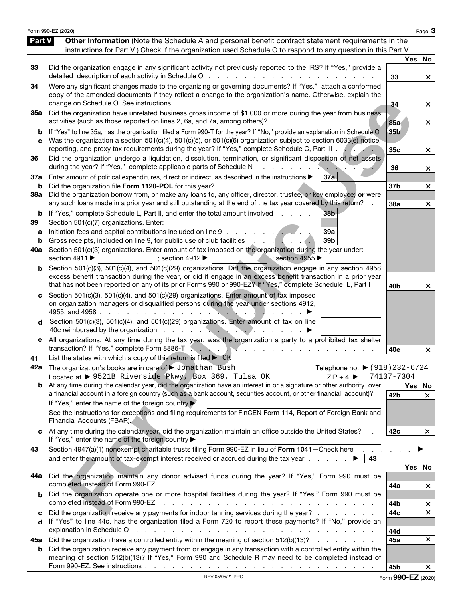|                          | Form 990-EZ (2020)                                                                                                                                                                                                                                                                                                                                                                                                                                                                                                                                                     |                 |               | Page 3                         |
|--------------------------|------------------------------------------------------------------------------------------------------------------------------------------------------------------------------------------------------------------------------------------------------------------------------------------------------------------------------------------------------------------------------------------------------------------------------------------------------------------------------------------------------------------------------------------------------------------------|-----------------|---------------|--------------------------------|
| Part V                   | Other Information (Note the Schedule A and personal benefit contract statement requirements in the<br>instructions for Part V.) Check if the organization used Schedule O to respond to any question in this Part V                                                                                                                                                                                                                                                                                                                                                    |                 |               |                                |
| 33                       | Did the organization engage in any significant activity not previously reported to the IRS? If "Yes," provide a<br>detailed description of each activity in Schedule O<br>and the state of the state                                                                                                                                                                                                                                                                                                                                                                   | 33              | Yes           | No<br>$\times$                 |
| 34                       | Were any significant changes made to the organizing or governing documents? If "Yes," attach a conformed<br>copy of the amended documents if they reflect a change to the organization's name. Otherwise, explain the<br>change on Schedule O. See instructions                                                                                                                                                                                                                                                                                                        | -34             |               | ×.                             |
| 35a                      | Did the organization have unrelated business gross income of \$1,000 or more during the year from business<br>activities (such as those reported on lines 2, 6a, and 7a, among others)?                                                                                                                                                                                                                                                                                                                                                                                | 35a             |               | ×.                             |
| b<br>C                   | If "Yes" to line 35a, has the organization filed a Form 990-T for the year? If "No," provide an explanation in Schedule O<br>Was the organization a section 501(c)(4), 501(c)(5), or 501(c)(6) organization subject to section 6033(e) notice,<br>reporting, and proxy tax requirements during the year? If "Yes," complete Schedule C, Part III .                                                                                                                                                                                                                     | 35b<br>35c      |               | ×.                             |
| 36                       | Did the organization undergo a liquidation, dissolution, termination, or significant disposition of net assets<br>during the year? If "Yes," complete applicable parts of Schedule N                                                                                                                                                                                                                                                                                                                                                                                   | 36              |               | ×                              |
| 37a<br>b                 | Enter amount of political expenditures, direct or indirect, as described in the instructions $\blacktriangleright$<br>37a<br>Did the organization file Form 1120-POL for this year? .<br>the contract of the contract of the                                                                                                                                                                                                                                                                                                                                           | 37 <sub>b</sub> |               | $\times$                       |
| 38a                      | Did the organization borrow from, or make any loans to, any officer, director, trustee, or key employee; or were<br>any such loans made in a prior year and still outstanding at the end of the tax year covered by this return?                                                                                                                                                                                                                                                                                                                                       | 38a             |               | $\times$                       |
| b<br>39<br>a<br>b<br>40a | 38 <sub>b</sub><br>If "Yes," complete Schedule L, Part II, and enter the total amount involved<br>Section 501(c)(7) organizations. Enter:<br>Initiation fees and capital contributions included on line 9<br>39a<br>Gross receipts, included on line 9, for public use of club facilities<br>39 <sub>b</sub><br>$\mathbf{r}$ and $\mathbf{r}$ and $\mathbf{r}$ and $\mathbf{r}$<br>Section 501(c)(3) organizations. Enter amount of tax imposed on the organization during the year under:<br>section 4911 ▶<br>; section 4955<br>; section 4912 $\blacktriangleright$ |                 |               |                                |
| b                        | Section 501(c)(3), 501(c)(4), and 501(c)(29) organizations. Did the organization engage in any section 4958<br>excess benefit transaction during the year, or did it engage in an excess benefit transaction in a prior year<br>that has not been reported on any of its prior Forms 990 or 990-EZ? If "Yes," complete Schedule L, Part I                                                                                                                                                                                                                              | 40 <sub>b</sub> |               | ×                              |
| d                        | Section 501(c)(3), 501(c)(4), and 501(c)(29) organizations. Enter amount of tax imposed<br>on organization managers or disqualified persons during the year under sections 4912,<br>4955, and 4958.<br>Section 501(c)(3), 501(c)(4), and 501(c)(29) organizations. Enter amount of tax on line<br>40c reimbursed by the organization                                                                                                                                                                                                                                   |                 |               |                                |
| е                        | All organizations. At any time during the tax year, was the organization a party to a prohibited tax shelter<br>transaction? If "Yes," complete Form 8886-T.<br>يك<br>and the company of the company of                                                                                                                                                                                                                                                                                                                                                                | 40e             |               | $\times$                       |
| 41<br>42a                | List the states with which a copy of this return is filed $\triangleright$ OK<br>The organization's books are in care of $\blacktriangleright$ Jonathan Bush<br>Telephone no. ▶ (918) 232-6724<br>Located at ▶ 9521B Riverside Pkwy, Box 369, Tulsa OK<br>$7IP + 4$                                                                                                                                                                                                                                                                                                    | 74137-7304      |               |                                |
|                          | <b>b</b> At any time during the calendar year, did the organization have an interest in or a signature or other authority over<br>a financial account in a foreign country (such as a bank account, securities account, or other financial account)?<br>If "Yes," enter the name of the foreign country<br>See the instructions for exceptions and filing requirements for FinCEN Form 114, Report of Foreign Bank and<br>Financial Accounts (FBAR).                                                                                                                   | 42b             | $Yes \mid No$ | $\times$                       |
| C.                       | At any time during the calendar year, did the organization maintain an office outside the United States?<br>If "Yes," enter the name of the foreign country >                                                                                                                                                                                                                                                                                                                                                                                                          | 42c             |               | ×                              |
| 43                       | Section 4947(a)(1) nonexempt charitable trusts filing Form 990-EZ in lieu of Form 1041-Check here<br>and enter the amount of tax-exempt interest received or accrued during the tax year $\ldots$ $\ldots$<br>43                                                                                                                                                                                                                                                                                                                                                       |                 |               | $\vert \ \ \vert$              |
| 44a                      | Did the organization maintain any donor advised funds during the year? If "Yes," Form 990 must be<br>completed instead of Form 990-EZ<br>the contract of the contract of the contract of the contract of                                                                                                                                                                                                                                                                                                                                                               | 44a             | Yes           | No                             |
| b                        | Did the organization operate one or more hospital facilities during the year? If "Yes," Form 990 must be<br>completed instead of Form 990-EZ<br>and a series of the contract of the contract of the contract of the contract of                                                                                                                                                                                                                                                                                                                                        | 44b             |               | ×<br>$\boldsymbol{\mathsf{x}}$ |
| c<br>d                   | Did the organization receive any payments for indoor tanning services during the year?<br>If "Yes" to line 44c, has the organization filed a Form 720 to report these payments? If "No," provide an<br>explanation in Schedule O<br>and the contract of the contract of the contract of the contract of the contract of                                                                                                                                                                                                                                                | 44c<br>44d      |               | $\boldsymbol{\times}$          |
| 45а                      | Did the organization have a controlled entity within the meaning of section 512(b)(13)?                                                                                                                                                                                                                                                                                                                                                                                                                                                                                | 45a             |               | $\times$                       |
| b                        | Did the organization receive any payment from or engage in any transaction with a controlled entity within the<br>meaning of section 512(b)(13)? If "Yes," Form 990 and Schedule R may need to be completed instead of                                                                                                                                                                                                                                                                                                                                                 | 45b             |               | $\pmb{\times}$                 |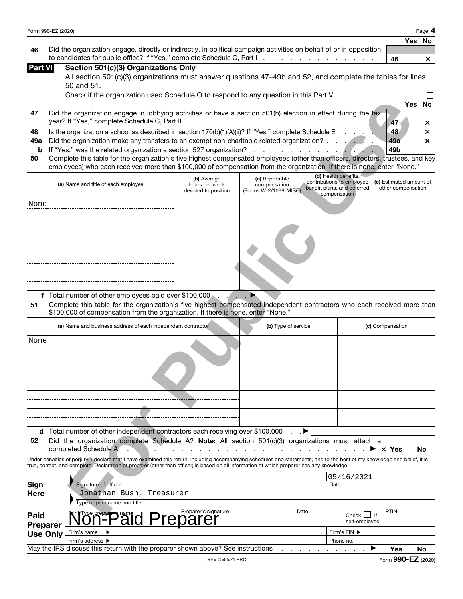|                                                                                                                        |     | Yes   No |          |
|------------------------------------------------------------------------------------------------------------------------|-----|----------|----------|
| 46 Did the organization engage, directly or indirectly, in political campaign activities on behalf of or in opposition |     |          |          |
| to candidates for public office? If "Yes," complete Schedule C, Part I.                                                | -46 |          | $\times$ |

| Part VI I | Section 501(c)(3) Organizations Only |  |
|-----------|--------------------------------------|--|
|           |                                      |  |

All section 501(c)(3) organizations must answer questions 47–49b and 52, and complete the tables for lines 50 and 51.

|     | Check if the organization used Schedule O to respond to any question in this Part VI<br>the contract of the contract of the |     |     |  |
|-----|-----------------------------------------------------------------------------------------------------------------------------|-----|-----|--|
|     |                                                                                                                             |     | 'es |  |
| 47  | Did the organization engage in lobbying activities or have a section 501(h) election in effect during the tax               |     |     |  |
|     |                                                                                                                             |     |     |  |
| 48  | Is the organization a school as described in section $170(b)(1)(A)(ii)?$ If "Yes," complete Schedule E                      | 48  |     |  |
| 49а | Did the organization make any transfers to an exempt non-charitable related organization?                                   | 49a |     |  |
|     | <b>b</b> If "Yes," was the related organization a section 527 organization?                                                 | 49b |     |  |

| (a) Name and title of each employee | (b) Average<br>hours per week<br>devoted to position | (c) Reportable<br>compensation<br>(Forms W-2/1099-MISC) | (d) Health benefits,<br>contributions to employee<br>compensation | (e) Estimated amount of<br>other compensation |
|-------------------------------------|------------------------------------------------------|---------------------------------------------------------|-------------------------------------------------------------------|-----------------------------------------------|
| None                                |                                                      |                                                         |                                                                   |                                               |
|                                     |                                                      |                                                         |                                                                   |                                               |
|                                     |                                                      |                                                         |                                                                   |                                               |
|                                     |                                                      |                                                         |                                                                   |                                               |
|                                     |                                                      |                                                         |                                                                   |                                               |

| 47              | Did the organization engage in lobbying activities or have a section 501(h) election in effect during the tax                                                                                                                                                                                                            |                                                      |                                                         |                 |                                                                                                  |                                               | <b>Yes</b><br>No |
|-----------------|--------------------------------------------------------------------------------------------------------------------------------------------------------------------------------------------------------------------------------------------------------------------------------------------------------------------------|------------------------------------------------------|---------------------------------------------------------|-----------------|--------------------------------------------------------------------------------------------------|-----------------------------------------------|------------------|
|                 | year? If "Yes," complete Schedule C, Part II                                                                                                                                                                                                                                                                             |                                                      | .                                                       |                 |                                                                                                  | 47                                            | ×                |
| 48<br>49a       | Is the organization a school as described in section 170(b)(1)(A)(ii)? If "Yes," complete Schedule E<br>Did the organization make any transfers to an exempt non-charitable related organization?                                                                                                                        |                                                      |                                                         |                 |                                                                                                  | 48<br>49a                                     | ×<br>×           |
| b               | If "Yes," was the related organization a section 527 organization?                                                                                                                                                                                                                                                       |                                                      | $1 - 1 - 1$                                             |                 |                                                                                                  | 49b                                           |                  |
| 50              | Complete this table for the organization's five highest compensated employees (other than officers, directors, trustees, and key                                                                                                                                                                                         |                                                      |                                                         |                 |                                                                                                  |                                               |                  |
|                 | employees) who each received more than \$100,000 of compensation from the organization. If there is none, enter "None."                                                                                                                                                                                                  |                                                      |                                                         |                 |                                                                                                  |                                               |                  |
|                 | (a) Name and title of each employee                                                                                                                                                                                                                                                                                      | (b) Average<br>hours per week<br>devoted to position | (c) Reportable<br>compensation<br>(Forms W-2/1099-MISC) |                 | (d) Health benefits,<br>contributions to employee<br>benefit plans, and deferred<br>compensation | (e) Estimated amount of<br>other compensation |                  |
| None            |                                                                                                                                                                                                                                                                                                                          |                                                      |                                                         |                 |                                                                                                  |                                               |                  |
|                 |                                                                                                                                                                                                                                                                                                                          |                                                      |                                                         |                 |                                                                                                  |                                               |                  |
|                 |                                                                                                                                                                                                                                                                                                                          |                                                      |                                                         |                 |                                                                                                  |                                               |                  |
|                 |                                                                                                                                                                                                                                                                                                                          |                                                      |                                                         |                 |                                                                                                  |                                               |                  |
|                 |                                                                                                                                                                                                                                                                                                                          |                                                      |                                                         |                 |                                                                                                  |                                               |                  |
|                 | f Total number of other employees paid over \$100,000                                                                                                                                                                                                                                                                    |                                                      |                                                         |                 |                                                                                                  |                                               |                  |
| 51              | Complete this table for the organization's five highest compensated independent contractors who each received more than<br>\$100,000 of compensation from the organization. If there is none, enter "None."                                                                                                              |                                                      |                                                         |                 |                                                                                                  |                                               |                  |
|                 | (a) Name and business address of each independent contractor                                                                                                                                                                                                                                                             |                                                      | (b) Type of service                                     |                 |                                                                                                  | (c) Compensation                              |                  |
| None            |                                                                                                                                                                                                                                                                                                                          |                                                      |                                                         |                 |                                                                                                  |                                               |                  |
|                 |                                                                                                                                                                                                                                                                                                                          |                                                      |                                                         |                 |                                                                                                  |                                               |                  |
|                 |                                                                                                                                                                                                                                                                                                                          |                                                      |                                                         |                 |                                                                                                  |                                               |                  |
|                 |                                                                                                                                                                                                                                                                                                                          |                                                      |                                                         |                 |                                                                                                  |                                               |                  |
|                 |                                                                                                                                                                                                                                                                                                                          |                                                      |                                                         |                 |                                                                                                  |                                               |                  |
|                 |                                                                                                                                                                                                                                                                                                                          |                                                      |                                                         |                 |                                                                                                  |                                               |                  |
|                 |                                                                                                                                                                                                                                                                                                                          |                                                      |                                                         |                 |                                                                                                  |                                               |                  |
|                 |                                                                                                                                                                                                                                                                                                                          |                                                      |                                                         |                 |                                                                                                  |                                               |                  |
|                 | d Total number of other independent contractors each receiving over \$100,000                                                                                                                                                                                                                                            |                                                      |                                                         | $\cdot$ $\cdot$ |                                                                                                  |                                               |                  |
| 52              | Did the organization complete Schedule A? Note: All section 501(c)(3) organizations must attach a<br>completed Schedule A                                                                                                                                                                                                |                                                      | the contract of the contract of the                     |                 |                                                                                                  | $\mathbb{R}$ $\mathbb{M}$ Yes                 | No               |
|                 | Under penalties of perjury, I declare that I have examined this return, including accompanying schedules and statements, and to the best of my knowledge and belief, it is<br>true, correct, and complete. Declaration of preparer (other than officer) is based on all information of which preparer has any knowledge. |                                                      |                                                         |                 |                                                                                                  |                                               |                  |
|                 |                                                                                                                                                                                                                                                                                                                          |                                                      |                                                         |                 | 05/16/2021                                                                                       |                                               |                  |
| Sign            | Signature of officer                                                                                                                                                                                                                                                                                                     |                                                      |                                                         |                 | Date                                                                                             |                                               |                  |
| Here            | Jonathan Bush, Treasurer<br>Type or print name and title                                                                                                                                                                                                                                                                 |                                                      |                                                         |                 |                                                                                                  |                                               |                  |
| Paid            |                                                                                                                                                                                                                                                                                                                          | Preparer's signature                                 |                                                         | Date            | Check $\Box$ if                                                                                  | PTIN                                          |                  |
| <b>Preparer</b> | Won-Paid                                                                                                                                                                                                                                                                                                                 |                                                      |                                                         |                 | self-employed                                                                                    |                                               |                  |
| <b>Use Only</b> | Firm's name                                                                                                                                                                                                                                                                                                              |                                                      |                                                         |                 | Firm's EIN ▶                                                                                     |                                               |                  |

| <b>USE VIII</b> | Firm's<br>address                                                                                    |  |  |  | Phone no. |  |     |     |
|-----------------|------------------------------------------------------------------------------------------------------|--|--|--|-----------|--|-----|-----|
|                 | May the IRS discuss this return with the preparer s<br><sup>,</sup> See instructions<br>shown above? |  |  |  |           |  | Yes | .No |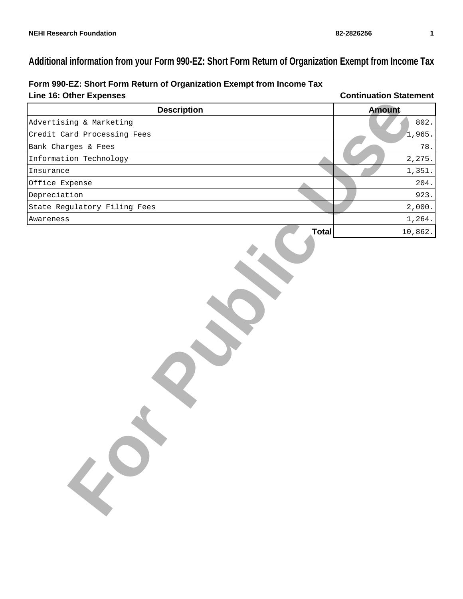# **Additional information from your Form 990-EZ: Short Form Return of Organization Exempt from Income Tax**

| Line 16: Other Expenses      | <b>Continuation Statement</b> |
|------------------------------|-------------------------------|
| <b>Description</b>           | <b>Amount</b>                 |
| Advertising & Marketing      | 802.                          |
| Credit Card Processing Fees  | 1,965.                        |
| Bank Charges & Fees          | 78.                           |
| Information Technology       | 2,275.                        |
| Insurance                    | 1,351.                        |
| Office Expense               | 204.                          |
| Depreciation                 | 923.                          |
| State Regulatory Filing Fees | 2,000.                        |
| Awareness                    | 1,264.                        |
|                              | <b>Total</b><br>10,862.       |
|                              |                               |

**Form 990-EZ: Short Form Return of Organization Exempt from Income Tax**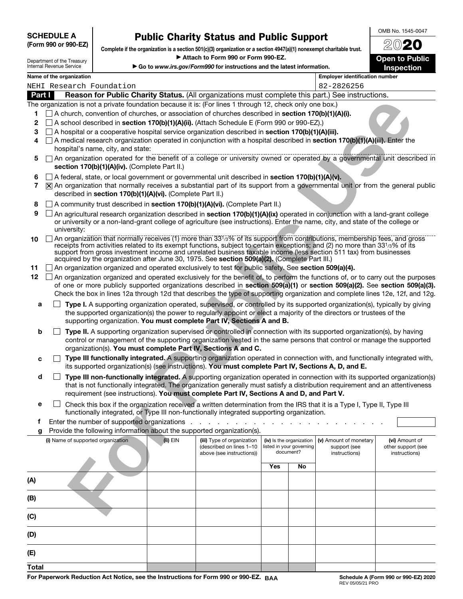**SCHEDULE A (Form 990 or 990-EZ)**

OMB No. 1545-0047

| Department of the Treasury |
|----------------------------|
| Internal Revenue Service   |

**Public Charity Status and Public Support Complete if the organization is a section 501(c)(3) organization or a section 4947(a)(1) nonexempt charitable trust.** a **Attach to Form 990 or Form 990-EZ.** 

■ Go to *www.irs.gov/Form990* for instructions and the latest information.<br>**Employer identifications** 

20**20 Open to Public Inspection**

|     | Name of the organization<br><b>Employer identification number</b>                                                                                                                                                                                                                                                                                                                                                                                                                                        |          |                                                        |                          |                          |                                        |                                      |  |  |
|-----|----------------------------------------------------------------------------------------------------------------------------------------------------------------------------------------------------------------------------------------------------------------------------------------------------------------------------------------------------------------------------------------------------------------------------------------------------------------------------------------------------------|----------|--------------------------------------------------------|--------------------------|--------------------------|----------------------------------------|--------------------------------------|--|--|
|     | NEHI Research Foundation<br>82-2826256                                                                                                                                                                                                                                                                                                                                                                                                                                                                   |          |                                                        |                          |                          |                                        |                                      |  |  |
|     | Reason for Public Charity Status. (All organizations must complete this part.) See instructions.<br>Part I                                                                                                                                                                                                                                                                                                                                                                                               |          |                                                        |                          |                          |                                        |                                      |  |  |
|     | The organization is not a private foundation because it is: (For lines 1 through 12, check only one box.)                                                                                                                                                                                                                                                                                                                                                                                                |          |                                                        |                          |                          |                                        |                                      |  |  |
|     | $\Box$ A church, convention of churches, or association of churches described in <b>section 170(b)(1)(A)(i).</b>                                                                                                                                                                                                                                                                                                                                                                                         |          |                                                        |                          |                          |                                        |                                      |  |  |
| 2   | $\Box$ A school described in section 170(b)(1)(A)(ii). (Attach Schedule E (Form 990 or 990-EZ).)                                                                                                                                                                                                                                                                                                                                                                                                         |          |                                                        |                          |                          |                                        |                                      |  |  |
| 3   | $\Box$ A hospital or a cooperative hospital service organization described in section 170(b)(1)(A)(iii).                                                                                                                                                                                                                                                                                                                                                                                                 |          |                                                        |                          |                          |                                        |                                      |  |  |
| 4   | A medical research organization operated in conjunction with a hospital described in section 170(b)(1)(A)(iii). Enter the<br>hospital's name, city, and state:                                                                                                                                                                                                                                                                                                                                           |          |                                                        |                          |                          |                                        |                                      |  |  |
| 5   | An organization operated for the benefit of a college or university owned or operated by a governmental unit described in<br>section 170(b)(1)(A)(iv). (Complete Part II.)                                                                                                                                                                                                                                                                                                                               |          |                                                        |                          |                          |                                        |                                      |  |  |
| 6   | $\Box$ A federal, state, or local government or governmental unit described in section 170(b)(1)(A)(v).                                                                                                                                                                                                                                                                                                                                                                                                  |          |                                                        |                          |                          |                                        |                                      |  |  |
| 7   | X An organization that normally receives a substantial part of its support from a governmental unit or from the general public<br>described in section 170(b)(1)(A)(vi). (Complete Part II.)                                                                                                                                                                                                                                                                                                             |          |                                                        |                          |                          |                                        |                                      |  |  |
| 8   | A community trust described in section 170(b)(1)(A)(vi). (Complete Part II.)                                                                                                                                                                                                                                                                                                                                                                                                                             |          |                                                        |                          |                          |                                        |                                      |  |  |
| 9   | An agricultural research organization described in section 170(b)(1)(A)(ix) operated in conjunction with a land-grant college<br>or university or a non-land-grant college of agriculture (see instructions). Enter the name, city, and state of the college or<br>university:                                                                                                                                                                                                                           |          |                                                        |                          |                          |                                        |                                      |  |  |
| 10  | An organization that normally receives (1) more than 33 <sup>1</sup> / <sub>3</sub> % of its support from contributions, membership fees, and gross<br>receipts from activities related to its exempt functions, subject to certain exceptions; and (2) no more than 331/3% of its<br>support from gross investment income and unrelated business taxable income (less section 511 tax) from businesses<br>acquired by the organization after June 30, 1975. See section 509(a)(2). (Complete Part III.) |          |                                                        |                          |                          |                                        |                                      |  |  |
| 11  | An organization organized and operated exclusively to test for public safety. See section 509(a)(4).                                                                                                                                                                                                                                                                                                                                                                                                     |          |                                                        |                          |                          |                                        |                                      |  |  |
| 12  | An organization organized and operated exclusively for the benefit of, to perform the functions of, or to carry out the purposes                                                                                                                                                                                                                                                                                                                                                                         |          |                                                        |                          |                          |                                        |                                      |  |  |
|     | of one or more publicly supported organizations described in section 509(a)(1) or section 509(a)(2). See section 509(a)(3).<br>Check the box in lines 12a through 12d that describes the type of supporting organization and complete lines 12e, 12f, and 12g.                                                                                                                                                                                                                                           |          |                                                        |                          |                          |                                        |                                      |  |  |
| a   | Type I. A supporting organization operated, supervised, or controlled by its supported organization(s), typically by giving                                                                                                                                                                                                                                                                                                                                                                              |          |                                                        |                          |                          |                                        |                                      |  |  |
|     | the supported organization(s) the power to regularly appoint or elect a majority of the directors or trustees of the<br>supporting organization. You must complete Part IV, Sections A and B.                                                                                                                                                                                                                                                                                                            |          |                                                        |                          |                          |                                        |                                      |  |  |
| b   | Type II. A supporting organization supervised or controlled in connection with its supported organization(s), by having<br>control or management of the supporting organization vested in the same persons that control or manage the supported                                                                                                                                                                                                                                                          |          |                                                        |                          |                          |                                        |                                      |  |  |
|     | organization(s). You must complete Part IV, Sections A and C.                                                                                                                                                                                                                                                                                                                                                                                                                                            |          |                                                        |                          |                          |                                        |                                      |  |  |
| c   | Type III functionally integrated. A supporting organization operated in connection with, and functionally integrated with,                                                                                                                                                                                                                                                                                                                                                                               |          |                                                        |                          |                          |                                        |                                      |  |  |
|     | its supported organization(s) (see instructions). You must complete Part IV, Sections A, D, and E.                                                                                                                                                                                                                                                                                                                                                                                                       |          |                                                        |                          |                          |                                        |                                      |  |  |
| d   | Type III non-functionally integrated. A supporting organization operated in connection with its supported organization(s)<br>that is not functionally integrated. The organization generally must satisfy a distribution requirement and an attentiveness                                                                                                                                                                                                                                                |          |                                                        |                          |                          |                                        |                                      |  |  |
|     | requirement (see instructions). You must complete Part IV, Sections A and D, and Part V.                                                                                                                                                                                                                                                                                                                                                                                                                 |          |                                                        |                          |                          |                                        |                                      |  |  |
| е   | Check this box if the organization received a written determination from the IRS that it is a Type I, Type II, Type III<br>functionally integrated, or Type III non-functionally integrated supporting organization.                                                                                                                                                                                                                                                                                     |          |                                                        |                          |                          |                                        |                                      |  |  |
| f   | Enter the number of supported organizations                                                                                                                                                                                                                                                                                                                                                                                                                                                              |          |                                                        |                          |                          |                                        |                                      |  |  |
| g   | Provide the following information about the supported organization(s).                                                                                                                                                                                                                                                                                                                                                                                                                                   |          |                                                        |                          |                          |                                        |                                      |  |  |
|     | (i) Name of supported organization                                                                                                                                                                                                                                                                                                                                                                                                                                                                       | (ii) EIN | (iii) Type of organization<br>(described on lines 1-10 | (iv) Is the organization | listed in your governing | (v) Amount of monetary<br>support (see | (vi) Amount of<br>other support (see |  |  |
|     |                                                                                                                                                                                                                                                                                                                                                                                                                                                                                                          |          | above (see instructions))                              |                          | document?                | instructions)                          | instructions)                        |  |  |
|     |                                                                                                                                                                                                                                                                                                                                                                                                                                                                                                          |          |                                                        |                          |                          |                                        |                                      |  |  |
|     |                                                                                                                                                                                                                                                                                                                                                                                                                                                                                                          |          |                                                        | Yes                      | No                       |                                        |                                      |  |  |
| (A) |                                                                                                                                                                                                                                                                                                                                                                                                                                                                                                          |          |                                                        |                          |                          |                                        |                                      |  |  |
| (B) |                                                                                                                                                                                                                                                                                                                                                                                                                                                                                                          |          |                                                        |                          |                          |                                        |                                      |  |  |
| (C) |                                                                                                                                                                                                                                                                                                                                                                                                                                                                                                          |          |                                                        |                          |                          |                                        |                                      |  |  |
| (D) |                                                                                                                                                                                                                                                                                                                                                                                                                                                                                                          |          |                                                        |                          |                          |                                        |                                      |  |  |
| (E) |                                                                                                                                                                                                                                                                                                                                                                                                                                                                                                          |          |                                                        |                          |                          |                                        |                                      |  |  |

**Total**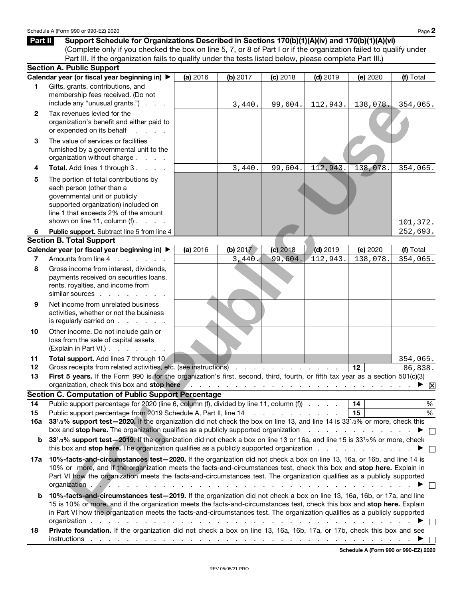**Part II** Support Schedule for Organizations Described in Sections 170(b)(1)(A)(iv) and 170(b)(1)(A)(vi) (Complete only if you checked the box on line 5, 7, or 8 of Part I or if the organization failed to qualify under Part III. If the organization fails to qualify under the tests listed below, please complete Part III.)

|                | <b>Section A. Public Support</b>                                                                                                                                                                                                                                                                                                                                                                 |          |                                                                                     |                                 |            |                                      |           |
|----------------|--------------------------------------------------------------------------------------------------------------------------------------------------------------------------------------------------------------------------------------------------------------------------------------------------------------------------------------------------------------------------------------------------|----------|-------------------------------------------------------------------------------------|---------------------------------|------------|--------------------------------------|-----------|
|                | Calendar year (or fiscal year beginning in) ▶                                                                                                                                                                                                                                                                                                                                                    | (a) 2016 | (b) 2017                                                                            | (c) 2018                        | $(d)$ 2019 | (e) 2020                             | (f) Total |
| 1.             | Gifts, grants, contributions, and<br>membership fees received. (Do not<br>include any "unusual grants.")                                                                                                                                                                                                                                                                                         |          | 3,440.                                                                              | 99,604.                         | 112,943.   | 138,078.                             | 354,065.  |
| $\mathbf{2}$   | Tax revenues levied for the<br>organization's benefit and either paid to<br>or expended on its behalf                                                                                                                                                                                                                                                                                            |          |                                                                                     |                                 |            |                                      |           |
| 3              | The value of services or facilities<br>furnished by a governmental unit to the<br>organization without charge                                                                                                                                                                                                                                                                                    |          |                                                                                     |                                 |            |                                      |           |
| 4              | Total. Add lines 1 through 3.                                                                                                                                                                                                                                                                                                                                                                    |          | 3,440.                                                                              | 99,604.                         | 112,943.   | 138,078.                             | 354,065.  |
| 5              | The portion of total contributions by<br>each person (other than a<br>governmental unit or publicly<br>supported organization) included on<br>line 1 that exceeds 2% of the amount                                                                                                                                                                                                               |          |                                                                                     |                                 |            |                                      |           |
|                | shown on line 11, column $(f)$ .                                                                                                                                                                                                                                                                                                                                                                 |          |                                                                                     |                                 |            |                                      | 101,372.  |
| 6              | Public support. Subtract line 5 from line 4                                                                                                                                                                                                                                                                                                                                                      |          |                                                                                     |                                 |            |                                      | 252,693.  |
|                | <b>Section B. Total Support</b>                                                                                                                                                                                                                                                                                                                                                                  |          |                                                                                     |                                 |            |                                      |           |
|                | Calendar year (or fiscal year beginning in) ▶                                                                                                                                                                                                                                                                                                                                                    | (a) 2016 | (b) $2017$                                                                          | (c) 2018                        | $(d)$ 2019 | (e) 2020                             | (f) Total |
| $\overline{7}$ | Amounts from line 4<br>and the contract of the con-                                                                                                                                                                                                                                                                                                                                              |          | 3,440.                                                                              | 99,604.                         | 112,943.   | 138,078.                             | 354,065.  |
| 8              | Gross income from interest, dividends,<br>payments received on securities loans,<br>rents, royalties, and income from<br>similar sources                                                                                                                                                                                                                                                         |          |                                                                                     |                                 |            |                                      |           |
| 9              | Net income from unrelated business<br>activities, whether or not the business<br>is regularly carried on                                                                                                                                                                                                                                                                                         |          |                                                                                     |                                 |            |                                      |           |
| 10             | Other income. Do not include gain or<br>loss from the sale of capital assets<br>(Explain in Part VI.)                                                                                                                                                                                                                                                                                            |          |                                                                                     |                                 |            |                                      |           |
| 11             | Total support. Add lines 7 through 10                                                                                                                                                                                                                                                                                                                                                            |          |                                                                                     |                                 |            |                                      | 354,065.  |
| 12             | Gross receipts from related activities, etc. (see instructions)                                                                                                                                                                                                                                                                                                                                  |          |                                                                                     |                                 |            | 12                                   | 86,838.   |
| 13             | First 5 years. If the Form 990 is for the organization's first, second, third, fourth, or fifth tax year as a section 501(c)(3)                                                                                                                                                                                                                                                                  |          |                                                                                     |                                 |            |                                      |           |
|                | organization, check this box and stop here in the state of the state of the state of the state of the state of the state of the state of the state of the state of the state of the state of the state of the state of the sta                                                                                                                                                                   |          |                                                                                     |                                 |            |                                      |           |
|                | <b>Section C. Computation of Public Support Percentage</b>                                                                                                                                                                                                                                                                                                                                       |          |                                                                                     |                                 |            |                                      |           |
| 14             | Public support percentage for 2020 (line 6, column (f), divided by line 11, column (f))                                                                                                                                                                                                                                                                                                          |          |                                                                                     |                                 |            | 14<br>15                             | $\%$<br>% |
| 15<br>16a      | Public support percentage from 2019 Schedule A, Part II, line 14<br>331/3% support test-2020. If the organization did not check the box on line 13, and line 14 is 331/3% or more, check this                                                                                                                                                                                                    |          |                                                                                     | and a series of the contract of |            |                                      |           |
|                | box and stop here. The organization qualifies as a publicly supported organization                                                                                                                                                                                                                                                                                                               |          |                                                                                     |                                 |            | and the company of the               |           |
| b              | 331/3% support test-2019. If the organization did not check a box on line 13 or 16a, and line 15 is 331/3% or more, check<br>this box and <b>stop here.</b> The organization qualifies as a publicly supported organization                                                                                                                                                                      |          |                                                                                     |                                 |            |                                      |           |
| 17a            | 10%-facts-and-circumstances test-2020. If the organization did not check a box on line 13, 16a, or 16b, and line 14 is<br>10% or more, and if the organization meets the facts-and-circumstances test, check this box and stop here. Explain in<br>Part VI how the organization meets the facts-and-circumstances test. The organization qualifies as a publicly supported<br>organization       |          |                                                                                     |                                 |            |                                      |           |
| b              | 10%-facts-and-circumstances test-2019. If the organization did not check a box on line 13, 16a, 16b, or 17a, and line<br>15 is 10% or more, and if the organization meets the facts-and-circumstances test, check this box and stop here. Explain<br>in Part VI how the organization meets the facts-and-circumstances test. The organization qualifies as a publicly supported<br>organization. |          |                                                                                     |                                 |            |                                      |           |
| 18             | Private foundation. If the organization did not check a box on line 13, 16a, 16b, 17a, or 17b, check this box and see<br>instructions                                                                                                                                                                                                                                                            |          | and the contract of the contract of the contract of the contract of the contract of |                                 |            |                                      |           |
|                |                                                                                                                                                                                                                                                                                                                                                                                                  |          |                                                                                     |                                 |            | Schedule A (Form 990 or 990-EZ) 2020 |           |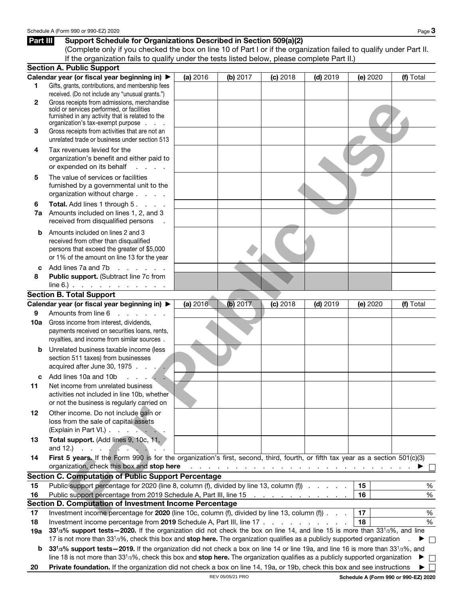# **Part III Support Schedule for Organizations Described in Section 509(a)(2)**

(Complete only if you checked the box on line 10 of Part I or if the organization failed to qualify under Part II. If the organization fails to qualify under the tests listed below, please complete Part II.)

|              | <b>Section A. Public Support</b>                                                                                                                                                                                               |          |                  |            |                                                                                 |          |                                      |
|--------------|--------------------------------------------------------------------------------------------------------------------------------------------------------------------------------------------------------------------------------|----------|------------------|------------|---------------------------------------------------------------------------------|----------|--------------------------------------|
|              | Calendar year (or fiscal year beginning in) ▶                                                                                                                                                                                  | (a) 2016 | (b) $2017$       | (c) 2018   | $(d)$ 2019                                                                      | (e) 2020 | (f) Total                            |
| 1            | Gifts, grants, contributions, and membership fees                                                                                                                                                                              |          |                  |            |                                                                                 |          |                                      |
|              | received. (Do not include any "unusual grants.")                                                                                                                                                                               |          |                  |            |                                                                                 |          |                                      |
| $\mathbf{2}$ | Gross receipts from admissions, merchandise<br>sold or services performed, or facilities<br>furnished in any activity that is related to the                                                                                   |          |                  |            |                                                                                 |          |                                      |
|              | organization's tax-exempt purpose                                                                                                                                                                                              |          |                  |            |                                                                                 |          |                                      |
| 3            | Gross receipts from activities that are not an<br>unrelated trade or business under section 513                                                                                                                                |          |                  |            |                                                                                 |          |                                      |
| 4            | Tax revenues levied for the                                                                                                                                                                                                    |          |                  |            |                                                                                 |          |                                      |
|              | organization's benefit and either paid to<br>or expended on its behalf<br>an an an an                                                                                                                                          |          |                  |            |                                                                                 |          |                                      |
| 5            | The value of services or facilities<br>furnished by a governmental unit to the<br>organization without charge                                                                                                                  |          |                  |            |                                                                                 |          |                                      |
| 6            | Total. Add lines 1 through 5.                                                                                                                                                                                                  |          |                  |            |                                                                                 |          |                                      |
| 7a           | Amounts included on lines 1, 2, and 3<br>received from disqualified persons                                                                                                                                                    |          |                  |            |                                                                                 |          |                                      |
| b            | Amounts included on lines 2 and 3                                                                                                                                                                                              |          |                  |            |                                                                                 |          |                                      |
|              | received from other than disqualified                                                                                                                                                                                          |          |                  |            |                                                                                 |          |                                      |
|              | persons that exceed the greater of \$5,000<br>or 1% of the amount on line 13 for the year                                                                                                                                      |          |                  |            |                                                                                 |          |                                      |
| c            | Add lines 7a and 7b<br>and a stringer                                                                                                                                                                                          |          |                  |            |                                                                                 |          |                                      |
| 8            | Public support. (Subtract line 7c from<br>$line 6$ . $\ldots$ $\ldots$ $\ldots$ $\ldots$                                                                                                                                       |          |                  |            |                                                                                 |          |                                      |
|              | <b>Section B. Total Support</b>                                                                                                                                                                                                |          |                  |            |                                                                                 |          |                                      |
|              | Calendar year (or fiscal year beginning in) ▶                                                                                                                                                                                  | (a) 2016 | (b) 2017         | $(c)$ 2018 | $(d)$ 2019                                                                      | (e) 2020 | (f) Total                            |
| 9            | Amounts from line 6<br>an an an an                                                                                                                                                                                             |          |                  |            |                                                                                 |          |                                      |
| 10a          | Gross income from interest, dividends,                                                                                                                                                                                         |          |                  |            |                                                                                 |          |                                      |
|              | payments received on securities loans, rents,<br>royalties, and income from similar sources.                                                                                                                                   |          |                  |            |                                                                                 |          |                                      |
| b            | Unrelated business taxable income (less<br>section 511 taxes) from businesses<br>acquired after June 30, 1975.                                                                                                                 |          |                  |            |                                                                                 |          |                                      |
| c            | Add lines 10a and 10b                                                                                                                                                                                                          |          |                  |            |                                                                                 |          |                                      |
| 11           | Net income from unrelated business<br>activities not included in line 10b, whether<br>or not the business is regularly carried on                                                                                              |          |                  |            |                                                                                 |          |                                      |
| 12           | Other income. Do not include gain or<br>loss from the sale of capital assets<br>(Explain in Part VI.)                                                                                                                          |          |                  |            |                                                                                 |          |                                      |
| 13           | Total support. (Add lines 9, 10c, 11,<br>and 12.)<br>$\cdots$ . $\cdots$                                                                                                                                                       |          |                  |            |                                                                                 |          |                                      |
| 14           | First 5 years. If the Form 990 is for the organization's first, second, third, fourth, or fifth tax year as a section 501(c)(3)                                                                                                |          |                  |            |                                                                                 |          |                                      |
|              | organization, check this box and stop here                                                                                                                                                                                     |          |                  |            | المتعاط والمتعاط والمتعاط والمتعاط والمتعاط والمتعاط والمتعاط والمتعاط والمتعاط |          |                                      |
|              | <b>Section C. Computation of Public Support Percentage</b>                                                                                                                                                                     |          |                  |            |                                                                                 |          |                                      |
| 15           | Public support percentage for 2020 (line 8, column (f), divided by line 13, column (f)                                                                                                                                         |          |                  |            |                                                                                 | 15       | $\%$                                 |
| 16           | Public support percentage from 2019 Schedule A, Part III, line 15                                                                                                                                                              |          |                  |            |                                                                                 | 16       | %                                    |
|              | Section D. Computation of Investment Income Percentage                                                                                                                                                                         |          |                  |            |                                                                                 | 17       |                                      |
| 17           | Investment income percentage for 2020 (line 10c, column (f), divided by line 13, column (f)                                                                                                                                    |          |                  |            |                                                                                 |          | $\%$                                 |
| 18           | Investment income percentage from 2019 Schedule A, Part III, line 17<br>33 <sup>1</sup> /3% support tests - 2020. If the organization did not check the box on line 14, and line 15 is more than 33 <sup>1</sup> /3%, and line |          |                  |            |                                                                                 | 18       | %                                    |
| 19a          | 17 is not more than 33 <sup>1</sup> /3%, check this box and stop here. The organization qualifies as a publicly supported organization                                                                                         |          |                  |            |                                                                                 |          |                                      |
| b            | 331/3% support tests - 2019. If the organization did not check a box on line 14 or line 19a, and line 16 is more than 331/3%, and                                                                                              |          |                  |            |                                                                                 |          | $\Box$                               |
|              | line 18 is not more than 33 <sup>1</sup> /3%, check this box and stop here. The organization qualifies as a publicly supported organization                                                                                    |          |                  |            |                                                                                 |          | ▶<br>$\Box$                          |
| 20           | Private foundation. If the organization did not check a box on line 14, 19a, or 19b, check this box and see instructions                                                                                                       |          |                  |            |                                                                                 |          | ▶<br>$\mathbf{I}$                    |
|              |                                                                                                                                                                                                                                |          | REV 05/05/21 PRO |            |                                                                                 |          | Schedule A (Form 990 or 990-EZ) 2020 |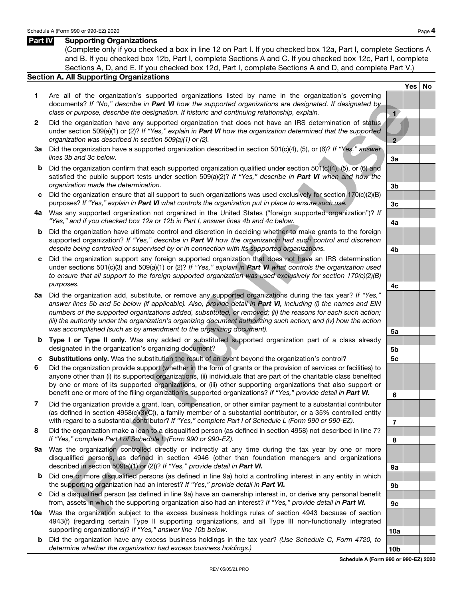### **Part IV Supporting Organizations**

(Complete only if you checked a box in line 12 on Part I. If you checked box 12a, Part I, complete Sections A and B. If you checked box 12b, Part I, complete Sections A and C. If you checked box 12c, Part I, complete Sections A, D, and E. If you checked box 12d, Part I, complete Sections A and D, and complete Part V.)

### **Section A. All Supporting Organizations**

- **1** Are all of the organization's supported organizations listed by name in the organization's governing documents? If "No," describe in *Part VI* how the supported organizations are designated. If designated by class or purpose, describe the designation. If historic and continuing relationship, explain. **1**
- **2** Did the organization have any supported organization that does not have an IRS determination of status under section 509(a)(1) or (2)? If "Yes," explain in *Part VI* how the organization determined that the supported organization was described in section 509(a)(1) or (2). **2**
- **3a** Did the organization have a supported organization described in section 501(c)(4), (5), or (6)? If "Yes," answer lines 3b and 3c below. **3a**
- **b** Did the organization confirm that each supported organization qualified under section 501(c)(4), (5), or (6) and satisfied the public support tests under section 509(a)(2)? If "Yes," describe in Part VI when and how the organization made the determination. **3b**
- **c** Did the organization ensure that all support to such organizations was used exclusively for section 170(c)(2)(B) purposes? If "Yes," explain in *Part VI* what controls the organization put in place to ensure such use. **3c**
- **4a** Was any supported organization not organized in the United States ("foreign supported organization")? If "Yes," and if you checked box 12a or 12b in Part I, answer lines 4b and 4c below. **4a**
- **b** Did the organization have ultimate control and discretion in deciding whether to make grants to the foreign supported organization? If "Yes," describe in *Part VI* how the organization had such control and discretion despite being controlled or supervised by or in connection with its supported organizations. **4b**
- **c** Did the organization support any foreign supported organization that does not have an IRS determination under sections 501(c)(3) and 509(a)(1) or (2)? If "Yes," explain in *Part VI* what controls the organization used to ensure that all support to the foreign supported organization was used exclusively for section 170(c)(2)(B) purposes. **4c**
- **5a** Did the organization add, substitute, or remove any supported organizations during the tax year? If "Yes," answer lines 5b and 5c below (if applicable). Also, provide detail in *Part VI*, including (i) the names and EIN numbers of the supported organizations added, substituted, or removed; (ii) the reasons for each such action; (iii) the authority under the organization's organizing document authorizing such action; and (iv) how the action was accomplished (such as by amendment to the organizing document). **5a** ments? *B*<sup>17</sup> Was "describe the Park Whow the supercritic draminations are designed to the supercritic of the public users are designed by the public users of the park Whom the supercritic contents are described by the pa
- **b Type I or Type II only.** Was any added or substituted supported organization part of a class already designated in the organization's organizing document? **5b**
- **c Substitutions only.** Was the substitution the result of an event beyond the organization's control? **5c**
- **6** Did the organization provide support (whether in the form of grants or the provision of services or facilities) to anyone other than (i) its supported organizations, (ii) individuals that are part of the charitable class benefited by one or more of its supported organizations, or (iii) other supporting organizations that also support or benefit one or more of the filing organization's supported organizations? If "Yes," provide detail in *Part VI.* **<sup>6</sup>**
- **7** Did the organization provide a grant, loan, compensation, or other similar payment to a substantial contributor (as defined in section 4958(c)(3)(C)), a family member of a substantial contributor, or a 35% controlled entity with regard to a substantial contributor? If "Yes," complete Part I of Schedule L (Form 990 or 990-EZ).
- **8** Did the organization make a loan to a disqualified person (as defined in section 4958) not described in line 7? If "Yes," complete Part I of Schedule L (Form 990 or 990-EZ). **8**
- **9a** Was the organization controlled directly or indirectly at any time during the tax year by one or more disqualified persons, as defined in section 4946 (other than foundation managers and organizations described in section 509(a)(1) or (2))? If "Yes," provide detail in **Part VI. 1998**
- **b** Did one or more disqualified persons (as defined in line 9a) hold a controlling interest in any entity in which the supporting organization had an interest? If "Yes," provide detail in **Part VI. 9b 9b 9b**
- **c** Did a disqualified person (as defined in line 9a) have an ownership interest in, or derive any personal benefit from, assets in which the supporting organization also had an interest? If "Yes," provide detail in *Part VI.* **9c**
- **10a** Was the organization subject to the excess business holdings rules of section 4943 because of section 4943(f) (regarding certain Type II supporting organizations, and all Type III non-functionally integrated supporting organizations)? If "Yes," answer line 10b below. **10a** and the state of the state of the 10a
	- **b** Did the organization have any excess business holdings in the tax year? (Use Schedule C, Form 4720, to determine whether the organization had excess business holdings.) **10b**

**Yes No**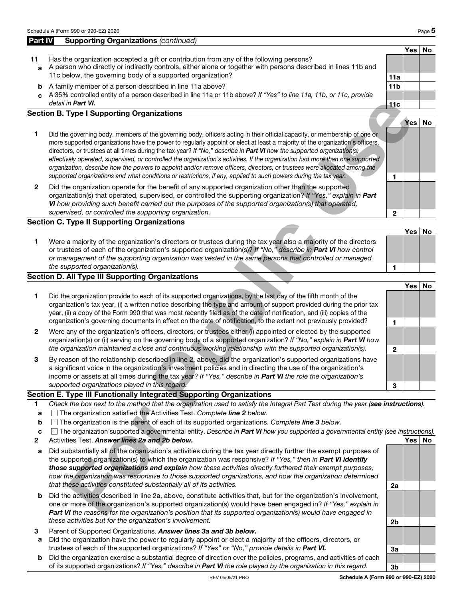### **Part IV** Supporting Organizations (continued) **Yes No 11** Has the organization accepted a gift or contribution from any of the following persons? **a** A person who directly or indirectly controls, either alone or together with persons described in lines 11b and 11c below, the governing body of a supported organization? **11a b** A family member of a person described in line 11a above? **11b 11b**

**c** A 35% controlled entity of a person described in line 11a or 11b above? If "Yes" to line 11a, 11b, or 11c, provide detail in *Part VI.* **11c Section B. Type I Supporting Organizations**

- **1** Did the governing body, members of the governing body, officers acting in their official capacity, or membership of one or more supported organizations have the power to regularly appoint or elect at least a majority of the organization's officers, directors, or trustees at all times during the tax year? If "No," describe in *Part VI* how the supported organization(s) effectively operated, supervised, or controlled the organization's activities. If the organization had more than one supported organization, describe how the powers to appoint and/or remove officers, directors, or trustees were allocated among the supported organizations and what conditions or restrictions, if any, applied to such powers during the tax year.
- **2** Did the organization operate for the benefit of any supported organization other than the supported organization(s) that operated, supervised, or controlled the supporting organization? If "Yes," explain in *Part VI* how providing such benefit carried out the purposes of the supported organization(s) that operated, supervised, or controlled the supporting organization. **2**

# **Section C. Type II Supporting Organizations**

# **Section D. All Type III Supporting Organizations**

|                                                 | detail in Part VI.                                                                                                                                                                                                                                                                                                                                                                                                                                                                                                                                                                                                                                                                                                                                                       | 11c          |          |           |
|-------------------------------------------------|--------------------------------------------------------------------------------------------------------------------------------------------------------------------------------------------------------------------------------------------------------------------------------------------------------------------------------------------------------------------------------------------------------------------------------------------------------------------------------------------------------------------------------------------------------------------------------------------------------------------------------------------------------------------------------------------------------------------------------------------------------------------------|--------------|----------|-----------|
|                                                 | ection B. Type I Supporting Organizations                                                                                                                                                                                                                                                                                                                                                                                                                                                                                                                                                                                                                                                                                                                                |              |          |           |
| 1                                               | Did the governing body, members of the governing body, officers acting in their official capacity, or membership of one or<br>more supported organizations have the power to regularly appoint or elect at least a majority of the organization's officers,<br>directors, or trustees at all times during the tax year? If "No," describe in Part VI how the supported organization(s)<br>effectively operated, supervised, or controlled the organization's activities. If the organization had more than one supported<br>organization, describe how the powers to appoint and/or remove officers, directors, or trustees were allocated among the<br>supported organizations and what conditions or restrictions, if any, applied to such powers during the tax year. | 1            | Yes      | No        |
| $\overline{2}$                                  | Did the organization operate for the benefit of any supported organization other than the supported<br>organization(s) that operated, supervised, or controlled the supporting organization? If "Yes," explain in Part<br>VI how providing such benefit carried out the purposes of the supported organization(s) that operated,<br>supervised, or controlled the supporting organization.                                                                                                                                                                                                                                                                                                                                                                               | $\mathbf{2}$ |          |           |
|                                                 | ection C. Type II Supporting Organizations                                                                                                                                                                                                                                                                                                                                                                                                                                                                                                                                                                                                                                                                                                                               |              |          |           |
| 1                                               | Were a majority of the organization's directors or trustees during the tax year also a majority of the directors<br>or trustees of each of the organization's supported organization(s)? If "No," describe in Part VI how control<br>or management of the supporting organization was vested in the same persons that controlled or managed<br>the supported organization(s).                                                                                                                                                                                                                                                                                                                                                                                            | 1            | Yes      | No        |
|                                                 | ection D. All Type III Supporting Organizations                                                                                                                                                                                                                                                                                                                                                                                                                                                                                                                                                                                                                                                                                                                          |              |          |           |
| 1                                               | Did the organization provide to each of its supported organizations, by the last day of the fifth month of the<br>organization's tax year, (i) a written notice describing the type and amount of support provided during the prior tax<br>year, (ii) a copy of the Form 990 that was most recently filed as of the date of notification, and (iii) copies of the<br>organization's governing documents in effect on the date of notification, to the extent not previously provided?                                                                                                                                                                                                                                                                                    | 1            | Yes      | <b>No</b> |
| $\mathbf{2}$                                    | Were any of the organization's officers, directors, or trustees either (i) appointed or elected by the supported<br>organization(s) or (ii) serving on the governing body of a supported organization? If "No," explain in Part VI how<br>the organization maintained a close and continuous working relationship with the supported organization(s).                                                                                                                                                                                                                                                                                                                                                                                                                    | $\mathbf{2}$ |          |           |
| 3                                               | By reason of the relationship described in line 2, above, did the organization's supported organizations have<br>a significant voice in the organization's investment policies and in directing the use of the organization's<br>income or assets at all times during the tax year? If "Yes," describe in Part VI the role the organization's<br>supported organizations played in this regard.                                                                                                                                                                                                                                                                                                                                                                          | 3            |          |           |
|                                                 | ection E. Type III Functionally Integrated Supporting Organizations                                                                                                                                                                                                                                                                                                                                                                                                                                                                                                                                                                                                                                                                                                      |              |          |           |
| $\mathbf{1}$<br>a<br>b<br>c<br>$\boldsymbol{2}$ | Check the box next to the method that the organization used to satisfy the Integral Part Test during the year (see instructions).<br>□ The organization satisfied the Activities Test. Complete line 2 below.<br>$\Box$ The organization is the parent of each of its supported organizations. Complete line 3 below.<br>$\Box$ The organization supported a governmental entity. Describe in Part VI how you supported a governmental entity (see instructions).<br>Activities Test. Answer lines 2a and 2b below.                                                                                                                                                                                                                                                      |              | Yes   No |           |
| a                                               | Did substantially all of the organization's activities during the tax year directly further the exempt purposes of<br>the supported organization(s) to which the organization was responsive? If "Yes," then in Part VI identify<br>those supported organizations and explain how these activities directly furthered their exempt purposes,<br>how the organization was responsive to those supported organizations, and how the organization determined<br>that these activities constituted substantially all of its activities.                                                                                                                                                                                                                                      | 2a           |          |           |
| b                                               | Did the activities described in line 2a, above, constitute activities that, but for the organization's involvement,<br>one or more of the organization's supported organization(s) would have been engaged in? If "Yes," explain in<br>Part VI the reasons for the organization's position that its supported organization(s) would have engaged in                                                                                                                                                                                                                                                                                                                                                                                                                      |              |          |           |

# **Section E. Type III Functionally Integrated Supporting Organizations**

- **<sup>1</sup>** Check the box next to the method that the organization used to satisfy the Integral Part Test during the year (*see instructions*).
- **<sup>a</sup>** The organization satisfied the Activities Test. Complete *line 2* below.
- **b** The organization is the parent of each of its supported organizations. Complete **line 3** below.
- **c** □ The organization supported a governmental entity. Describe in **Part VI** how you supported a governmental entity (see instructions).<br>2 Activities Test. Answer lines 2a and 2b below.
- **22** Activities Test. **Answer lines 2a and 2b below.**
- **a** Did substantially all of the organization's activities during the tax year directly further the exempt purposes of the supported organization(s) to which the organization was responsive? If "Yes," then in *Part VI identify those supported organizations and explain* how these activities directly furthered their exempt purposes, how the organization was responsive to those supported organizations, and how the organization determined that these activities constituted substantially all of its activities. **2a**
- **b** Did the activities described in line 2a, above, constitute activities that, but for the organization's involvement, one or more of the organization's supported organization(s) would have been engaged in? If "Yes," explain in **Part VI** the reasons for the organization's position that its supported organization(s) would have engaged in these activities but for the organization's involvement. **2b**
- **<sup>3</sup>** Parent of Supported Organizations. *Answer lines 3a and 3b below.*
- **a** Did the organization have the power to regularly appoint or elect a majority of the officers, directors, or trustees of each of the supported organizations? If "Yes" or "No," provide details in *Part VI.* **3a**
- **b** Did the organization exercise a substantial degree of direction over the policies, programs, and activities of each of its supported organizations? If "Yes," describe in *Part VI* the role played by the organization in this regard. **3b**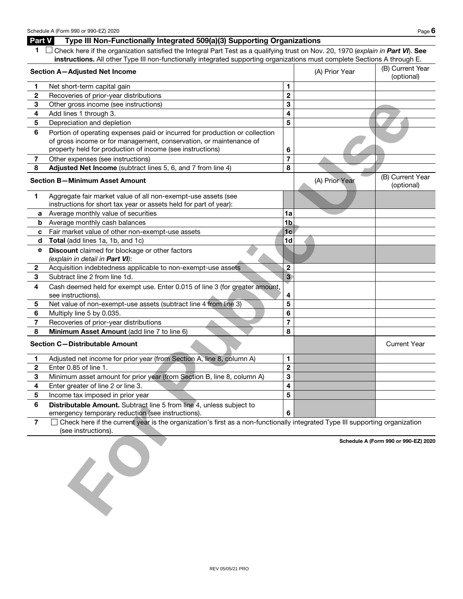### **Part V Type III Non-Functionally Integrated 509(a)(3) Supporting Organizations**

| 1 Check here if the organization satisfied the Integral Part Test as a qualifying trust on Nov. 20, 1970 (explain in Part VI). See |
|------------------------------------------------------------------------------------------------------------------------------------|
| instructions. All other Type III non-functionally integrated supporting organizations must complete Sections A through E.          |

| Section A-Adjusted Net Income |                                                                                                                                                     |                | (A) Prior Year | (B) Current Year<br>(optional)       |
|-------------------------------|-----------------------------------------------------------------------------------------------------------------------------------------------------|----------------|----------------|--------------------------------------|
| 1                             | Net short-term capital gain                                                                                                                         | 1              |                |                                      |
| $\mathbf{2}$                  | Recoveries of prior-year distributions                                                                                                              | $\mathbf 2$    |                |                                      |
| 3                             | Other gross income (see instructions)                                                                                                               | 3              |                |                                      |
| 4                             | Add lines 1 through 3.                                                                                                                              | 4              |                |                                      |
| 5                             | Depreciation and depletion                                                                                                                          | 5              |                |                                      |
| 6                             | Portion of operating expenses paid or incurred for production or collection                                                                         |                |                |                                      |
|                               | of gross income or for management, conservation, or maintenance of                                                                                  |                |                |                                      |
|                               | property held for production of income (see instructions)                                                                                           | 6              |                |                                      |
| 7                             | Other expenses (see instructions)                                                                                                                   | 7              |                |                                      |
| 8                             | Adjusted Net Income (subtract lines 5, 6, and 7 from line 4)                                                                                        | 8              |                |                                      |
|                               | <b>Section B-Minimum Asset Amount</b>                                                                                                               |                | (A) Prior Year | (B) Current Year<br>(optional)       |
| 1                             | Aggregate fair market value of all non-exempt-use assets (see                                                                                       |                |                |                                      |
|                               | instructions for short tax year or assets held for part of year):                                                                                   |                |                |                                      |
| а                             | Average monthly value of securities                                                                                                                 | 1a             |                |                                      |
| b                             | Average monthly cash balances                                                                                                                       | 1b             |                |                                      |
| C                             | Fair market value of other non-exempt-use assets                                                                                                    | 1 <sub>c</sub> |                |                                      |
| d                             | Total (add lines 1a, 1b, and 1c)                                                                                                                    | 1d             |                |                                      |
| е                             | Discount claimed for blockage or other factors                                                                                                      |                |                |                                      |
|                               | (explain in detail in Part VI):                                                                                                                     |                |                |                                      |
| $\mathbf{2}$                  | Acquisition indebtedness applicable to non-exempt-use assets                                                                                        | $\overline{c}$ |                |                                      |
| 3                             | Subtract line 2 from line 1d.                                                                                                                       | 3 <sup>1</sup> |                |                                      |
| 4                             | Cash deemed held for exempt use. Enter 0.015 of line 3 (for greater amount,                                                                         |                |                |                                      |
|                               | see instructions).                                                                                                                                  | 4              |                |                                      |
| 5                             | Net value of non-exempt-use assets (subtract line 4 from line 3)                                                                                    | 5              |                |                                      |
| 6                             | Multiply line 5 by 0.035.                                                                                                                           | 6              |                |                                      |
| 7                             | Recoveries of prior-year distributions                                                                                                              | 7              |                |                                      |
| 8                             | Minimum Asset Amount (add line 7 to line 6)                                                                                                         | 8              |                |                                      |
|                               | <b>Section C-Distributable Amount</b>                                                                                                               |                |                | <b>Current Year</b>                  |
| 1                             | Adjusted net income for prior year (from Section A, line 8, column A)                                                                               | 1              |                |                                      |
| $\mathbf{2}$                  | Enter 0.85 of line 1.                                                                                                                               | $\mathbf 2$    |                |                                      |
| 3                             | Minimum asset amount for prior year (from Section B, line 8, column A)                                                                              | 3              |                |                                      |
| 4                             | Enter greater of line 2 or line 3.                                                                                                                  | 4              |                |                                      |
| 5                             | Income tax imposed in prior year                                                                                                                    | 5              |                |                                      |
| 6                             | Distributable Amount. Subtract line 5 from line 4, unless subject to                                                                                |                |                |                                      |
|                               | emergency temporary reduction (see instructions).                                                                                                   | 6              |                |                                      |
| 7                             | Check here if the current year is the organization's first as a non-functionally integrated Type III supporting organization<br>(see instructions). |                |                |                                      |
|                               | $\overline{\mathcal{L}}$                                                                                                                            |                |                | Schedule A (Form 990 or 990-EZ) 2020 |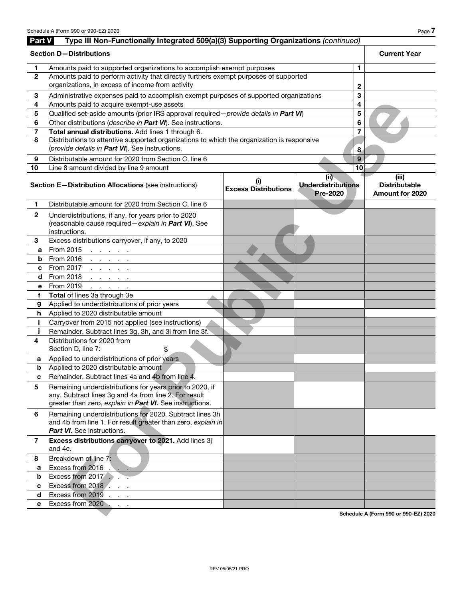| Part V         | Type III Non-Functionally Integrated 509(a)(3) Supporting Organizations (continued)                                                                                           |                                    |                                                      |                                                         |
|----------------|-------------------------------------------------------------------------------------------------------------------------------------------------------------------------------|------------------------------------|------------------------------------------------------|---------------------------------------------------------|
|                | <b>Section D-Distributions</b>                                                                                                                                                |                                    |                                                      | <b>Current Year</b>                                     |
| 1.             | Amounts paid to supported organizations to accomplish exempt purposes                                                                                                         |                                    | 1.                                                   |                                                         |
| $\overline{2}$ | Amounts paid to perform activity that directly furthers exempt purposes of supported                                                                                          |                                    |                                                      |                                                         |
|                | organizations, in excess of income from activity                                                                                                                              |                                    | 2                                                    |                                                         |
| 3              | Administrative expenses paid to accomplish exempt purposes of supported organizations                                                                                         |                                    | 3                                                    |                                                         |
| 4              | Amounts paid to acquire exempt-use assets                                                                                                                                     |                                    | 4                                                    |                                                         |
| 5              | Qualified set-aside amounts (prior IRS approval required - provide details in Part VI)                                                                                        |                                    | 5                                                    |                                                         |
| 6              | Other distributions (describe in Part VI). See instructions.                                                                                                                  |                                    | 6                                                    |                                                         |
| 7              | Total annual distributions. Add lines 1 through 6.                                                                                                                            |                                    | 7                                                    |                                                         |
| 8              | Distributions to attentive supported organizations to which the organization is responsive<br>(provide details in Part VI). See instructions.                                 |                                    | 8                                                    |                                                         |
| 9              | Distributable amount for 2020 from Section C, line 6                                                                                                                          |                                    | 9                                                    |                                                         |
| 10             | Line 8 amount divided by line 9 amount                                                                                                                                        |                                    | 10                                                   |                                                         |
|                | Section E-Distribution Allocations (see instructions)                                                                                                                         | (i)<br><b>Excess Distributions</b> | (ii)<br><b>Underdistributions</b><br><b>Pre-2020</b> | (iii)<br><b>Distributable</b><br><b>Amount for 2020</b> |
| 1              | Distributable amount for 2020 from Section C, line 6                                                                                                                          |                                    |                                                      |                                                         |
| $\mathbf{2}$   | Underdistributions, if any, for years prior to 2020<br>(reasonable cause required - explain in Part VI). See<br>instructions.                                                 |                                    |                                                      |                                                         |
| 3              | Excess distributions carryover, if any, to 2020                                                                                                                               |                                    |                                                      |                                                         |
| a              | From 2015<br>and a state of the                                                                                                                                               |                                    |                                                      |                                                         |
| b              | From 2016<br>and a state of the                                                                                                                                               |                                    |                                                      |                                                         |
| c              | From 2017<br>and a state of the                                                                                                                                               |                                    |                                                      |                                                         |
| d              | From 2018<br>and a state of the                                                                                                                                               |                                    |                                                      |                                                         |
| е              | From 2019<br>and a state of the                                                                                                                                               |                                    |                                                      |                                                         |
| f              | Total of lines 3a through 3e                                                                                                                                                  |                                    |                                                      |                                                         |
| g              | Applied to underdistributions of prior years                                                                                                                                  |                                    |                                                      |                                                         |
| h              | Applied to 2020 distributable amount                                                                                                                                          |                                    |                                                      |                                                         |
| j.             | Carryover from 2015 not applied (see instructions)                                                                                                                            |                                    |                                                      |                                                         |
| J              | Remainder. Subtract lines 3g, 3h, and 3i from line 3f.                                                                                                                        |                                    |                                                      |                                                         |
| 4              | Distributions for 2020 from<br>Section D, line 7:<br>\$                                                                                                                       |                                    |                                                      |                                                         |
| a              | Applied to underdistributions of prior years                                                                                                                                  |                                    |                                                      |                                                         |
| b              | Applied to 2020 distributable amount                                                                                                                                          |                                    |                                                      |                                                         |
| c              | Remainder. Subtract lines 4a and 4b from line 4.                                                                                                                              |                                    |                                                      |                                                         |
| 5              | Remaining underdistributions for years prior to 2020, if<br>any. Subtract lines 3g and 4a from line 2. For result<br>greater than zero, explain in Part VI. See instructions. |                                    |                                                      |                                                         |
| 6              | Remaining underdistributions for 2020. Subtract lines 3h<br>and 4b from line 1. For result greater than zero, explain in<br><b>Part VI.</b> See instructions.                 |                                    |                                                      |                                                         |
| 7              | Excess distributions carryover to 2021. Add lines 3j<br>and 4c.                                                                                                               |                                    |                                                      |                                                         |
| 8              | Breakdown of line 7:                                                                                                                                                          |                                    |                                                      |                                                         |
| a              | Excess from 2016<br><b>Contract</b>                                                                                                                                           |                                    |                                                      |                                                         |
| b              | Excess from 2017                                                                                                                                                              |                                    |                                                      |                                                         |
| C              | Excess from 2018                                                                                                                                                              |                                    |                                                      |                                                         |
| d              | Excess from 2019                                                                                                                                                              |                                    |                                                      |                                                         |
| е              | Excess from 2020                                                                                                                                                              |                                    |                                                      |                                                         |
|                |                                                                                                                                                                               |                                    |                                                      | Schedule A (Form 990 or 990-EZ) 2020                    |

**Schedule A (Form 990 or 990-EZ) 2020**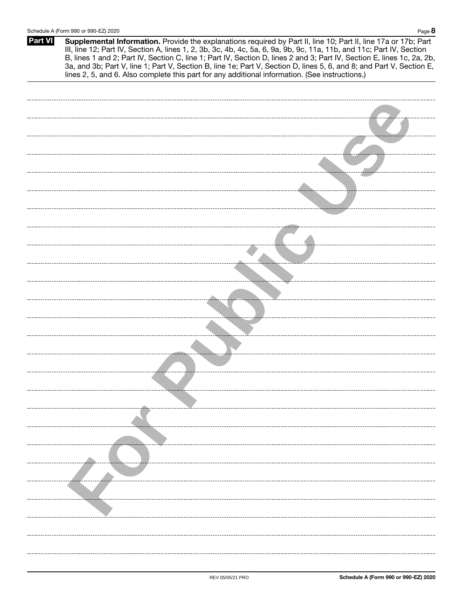| <b>Part VI</b> | Supplemental Information. Provide the explanations required by Part II, line 10; Part II, line 17a or 17b; Part<br>III, line 12; Part IV, Section A, lines 1, 2, 3b, 3c, 4b, 4c, 5a, 6, 9a, 9b, 9c, 11a, 11b, and 11c; Part IV, Section<br>B, lines 1 and 2; Part IV, Section C, line 1; Part IV, Section D, lines 2 and 3; Part IV, Section E, lines 1c, 2a, 2b,<br>3a, and 3b; Part V, line 1; Part V, Section B, line 1e; Part V, Section D, lines 5, 6, and 8; and Part V, Section E,<br>lines 2, 5, and 6. Also complete this part for any additional information. (See instructions.) |
|----------------|---------------------------------------------------------------------------------------------------------------------------------------------------------------------------------------------------------------------------------------------------------------------------------------------------------------------------------------------------------------------------------------------------------------------------------------------------------------------------------------------------------------------------------------------------------------------------------------------|
|                |                                                                                                                                                                                                                                                                                                                                                                                                                                                                                                                                                                                             |
|                |                                                                                                                                                                                                                                                                                                                                                                                                                                                                                                                                                                                             |
|                |                                                                                                                                                                                                                                                                                                                                                                                                                                                                                                                                                                                             |
|                |                                                                                                                                                                                                                                                                                                                                                                                                                                                                                                                                                                                             |
|                |                                                                                                                                                                                                                                                                                                                                                                                                                                                                                                                                                                                             |
|                |                                                                                                                                                                                                                                                                                                                                                                                                                                                                                                                                                                                             |
|                |                                                                                                                                                                                                                                                                                                                                                                                                                                                                                                                                                                                             |
|                |                                                                                                                                                                                                                                                                                                                                                                                                                                                                                                                                                                                             |
|                |                                                                                                                                                                                                                                                                                                                                                                                                                                                                                                                                                                                             |
|                |                                                                                                                                                                                                                                                                                                                                                                                                                                                                                                                                                                                             |
|                |                                                                                                                                                                                                                                                                                                                                                                                                                                                                                                                                                                                             |
|                |                                                                                                                                                                                                                                                                                                                                                                                                                                                                                                                                                                                             |
|                |                                                                                                                                                                                                                                                                                                                                                                                                                                                                                                                                                                                             |
|                |                                                                                                                                                                                                                                                                                                                                                                                                                                                                                                                                                                                             |
|                |                                                                                                                                                                                                                                                                                                                                                                                                                                                                                                                                                                                             |
|                |                                                                                                                                                                                                                                                                                                                                                                                                                                                                                                                                                                                             |
|                |                                                                                                                                                                                                                                                                                                                                                                                                                                                                                                                                                                                             |
|                |                                                                                                                                                                                                                                                                                                                                                                                                                                                                                                                                                                                             |
|                |                                                                                                                                                                                                                                                                                                                                                                                                                                                                                                                                                                                             |
|                |                                                                                                                                                                                                                                                                                                                                                                                                                                                                                                                                                                                             |
|                |                                                                                                                                                                                                                                                                                                                                                                                                                                                                                                                                                                                             |
|                |                                                                                                                                                                                                                                                                                                                                                                                                                                                                                                                                                                                             |
|                |                                                                                                                                                                                                                                                                                                                                                                                                                                                                                                                                                                                             |
|                |                                                                                                                                                                                                                                                                                                                                                                                                                                                                                                                                                                                             |
|                |                                                                                                                                                                                                                                                                                                                                                                                                                                                                                                                                                                                             |
|                |                                                                                                                                                                                                                                                                                                                                                                                                                                                                                                                                                                                             |
|                |                                                                                                                                                                                                                                                                                                                                                                                                                                                                                                                                                                                             |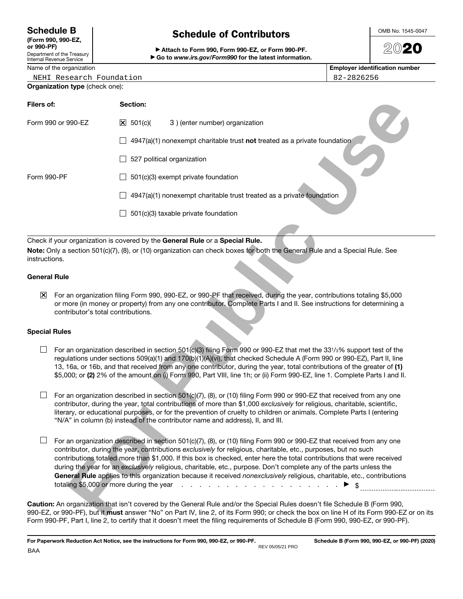## **Schedule B**

| (Form 990, 990-EZ, |
|--------------------|
| or 990-PF)         |
|                    |

Department of the Treasury Internal R

NEHI Research Foundation 82-2826256

### **Organization type** (check one):

| Filers of:            |                                    | Section:                   |                                                                                                                                                                                                                                                                                                                                                                                                                                                                                                                                                                                                                                                                                                                                                         |  |
|-----------------------|------------------------------------|----------------------------|---------------------------------------------------------------------------------------------------------------------------------------------------------------------------------------------------------------------------------------------------------------------------------------------------------------------------------------------------------------------------------------------------------------------------------------------------------------------------------------------------------------------------------------------------------------------------------------------------------------------------------------------------------------------------------------------------------------------------------------------------------|--|
|                       | Form 990 or 990-EZ                 | $\boxed{\times}$ 501(c)(   | 3) (enter number) organization                                                                                                                                                                                                                                                                                                                                                                                                                                                                                                                                                                                                                                                                                                                          |  |
|                       |                                    |                            | 4947(a)(1) nonexempt charitable trust not treated as a private foundation                                                                                                                                                                                                                                                                                                                                                                                                                                                                                                                                                                                                                                                                               |  |
|                       |                                    | 527 political organization |                                                                                                                                                                                                                                                                                                                                                                                                                                                                                                                                                                                                                                                                                                                                                         |  |
| Form 990-PF           |                                    |                            | 501(c)(3) exempt private foundation                                                                                                                                                                                                                                                                                                                                                                                                                                                                                                                                                                                                                                                                                                                     |  |
|                       |                                    |                            | 4947(a)(1) nonexempt charitable trust treated as a private foundation                                                                                                                                                                                                                                                                                                                                                                                                                                                                                                                                                                                                                                                                                   |  |
|                       |                                    |                            | 501(c)(3) taxable private foundation                                                                                                                                                                                                                                                                                                                                                                                                                                                                                                                                                                                                                                                                                                                    |  |
|                       |                                    |                            | Check if your organization is covered by the General Rule or a Special Rule.                                                                                                                                                                                                                                                                                                                                                                                                                                                                                                                                                                                                                                                                            |  |
| instructions.         |                                    |                            | Note: Only a section 501(c)(7), (8), or (10) organization can check boxes for both the General Rule and a Special Rule. See                                                                                                                                                                                                                                                                                                                                                                                                                                                                                                                                                                                                                             |  |
| <b>General Rule</b>   |                                    |                            |                                                                                                                                                                                                                                                                                                                                                                                                                                                                                                                                                                                                                                                                                                                                                         |  |
| $\mathbf{\mathsf{X}}$ | contributor's total contributions. |                            | For an organization filing Form 990, 990-EZ, or 990-PF that received, during the year, contributions totaling \$5,000<br>or more (in money or property) from any one contributor. Complete Parts I and II. See instructions for determining a                                                                                                                                                                                                                                                                                                                                                                                                                                                                                                           |  |
| <b>Special Rules</b>  |                                    |                            |                                                                                                                                                                                                                                                                                                                                                                                                                                                                                                                                                                                                                                                                                                                                                         |  |
|                       |                                    |                            | For an organization described in section 501(c)(3) filing Form 990 or 990-EZ that met the 331/3% support test of the<br>regulations under sections 509(a)(1) and 170(b)(1)(A)(vi), that checked Schedule A (Form 990 or 990-EZ), Part II, line<br>13, 16a, or 16b, and that received from any one contributor, during the year, total contributions of the greater of (1)<br>\$5,000; or (2) 2% of the amount on (i) Form 990, Part VIII, line 1h; or (ii) Form 990-EZ, line 1. Complete Parts I and II.                                                                                                                                                                                                                                                |  |
|                       |                                    |                            | For an organization described in section 501(c)(7), (8), or (10) filing Form 990 or 990-EZ that received from any one<br>contributor, during the year, total contributions of more than \$1,000 exclusively for religious, charitable, scientific,<br>literary, or educational purposes, or for the prevention of cruelty to children or animals. Complete Parts I (entering<br>"N/A" in column (b) instead of the contributor name and address), II, and III.                                                                                                                                                                                                                                                                                          |  |
|                       |                                    |                            | For an organization described in section 501(c)(7), (8), or (10) filing Form 990 or 990-EZ that received from any one<br>contributor, during the year, contributions exclusively for religious, charitable, etc., purposes, but no such<br>contributions totaled more than \$1,000. If this box is checked, enter here the total contributions that were received<br>during the year for an exclusively religious, charitable, etc., purpose. Don't complete any of the parts unless the<br>General Rule applies to this organization because it received nonexclusively religious, charitable, etc., contributions<br>totaling \$5,000 or more during the year $\ldots$ $\ldots$ $\ldots$ $\ldots$ $\ldots$ $\ldots$ $\ldots$ $\blacktriangleright$ \$ |  |
|                       |                                    |                            | Caution: An organization that isn't covered by the General Rule and/or the Special Rules doesn't file Schedule B (Form 990,<br>990-EZ, or 990-PF), but it must answer "No" on Part IV, line 2, of its Form 990; or check the box on line H of its Form 990-EZ or on it:                                                                                                                                                                                                                                                                                                                                                                                                                                                                                 |  |

**Schedule of Contributors** a **Attach to Form 990, Form 990-EZ, or Form 990-PF.**

**Schedule of Contributors** 

### **General Rule**

#### **Special Rules**

**Caution:** An organization that isn't covered by the General Rule and/or the Special Rules doesn't file Schedule B (Form 990, 990-EZ, or 990-PF), but it **must** answer "No" on Part IV, line 2, of its Form 990; or check the box on line H of its Form 990-EZ or on its Form 990-PF, Part I, line 2, to certify that it doesn't meet the filing requirements of Schedule B (Form 990, 990-EZ, or 990-PF).

20**20**

| iit of the Treasury i<br>evenue Service | Go to www.irs.gov/Form990 for the latest information. |
|-----------------------------------------|-------------------------------------------------------|
| f the ergenization                      |                                                       |

Name of the organization **Employer identification number Employer identification number**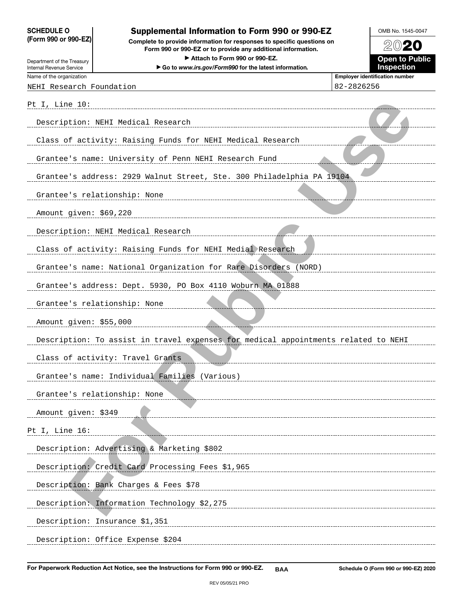**SCHEDULE O (Form 990 or 990-EZ)**

Department of the Treasury Internal Revenue Service

**Complete to provide information for responses to specific questions on Form 990 or 990-EZ or to provide any additional information.**

Attach to Form 990 or 990-EZ.

▶ Go to *www.irs.gov/Form990* for the latest information.



Name of the organization **Employer identification number Employer identification number** 

NEHI Research Foundation 82-2826256

| Pt I, Line 10:                                                                     |
|------------------------------------------------------------------------------------|
| Description: NEHI Medical Research                                                 |
| Class of activity: Raising Funds for NEHI Medical Research                         |
| Grantee's name: University of Penn NEHI Research Fund                              |
| Grantee's address: 2929 Walnut Street, Ste. 300 Philadelphia PA 19104              |
| Grantee's relationship: None                                                       |
| Amount given: \$69,220                                                             |
| Description: NEHI Medical Research                                                 |
| Class of activity: Raising Funds for NEHI Medial Research                          |
| Grantee's name: National Organization for Rare Disorders (NORD)                    |
| Grantee's address: Dept. 5930, PO Box 4110 Woburn MA 01888                         |
| Grantee's relationship: None                                                       |
| Amount given: \$55,000                                                             |
| Description: To assist in travel expenses for medical appointments related to NEHI |
| Class of activity: Travel Grants                                                   |
| Grantee's name: Individual Families (Various)                                      |
| Grantee's relationship: None                                                       |
| Amount given: \$349                                                                |
| Pt I, Line 16:                                                                     |
| Description: Advertising & Marketing \$802                                         |
| Description; Credit Card Processing Fees \$1,965                                   |
| Description: Bank Charges & Fees \$78                                              |
| Description: Information Technology \$2,275                                        |
| Description: Insurance \$1,351                                                     |
| Description: Office Expense \$204                                                  |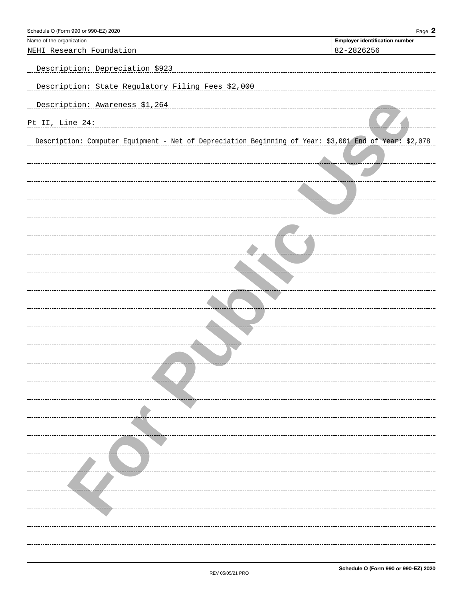| Schedule O (Form 990 or 990-EZ) 2020                                                                  | Page $2$                              |
|-------------------------------------------------------------------------------------------------------|---------------------------------------|
| Name of the organization                                                                              | <b>Employer identification number</b> |
| NEHI Research Foundation                                                                              | 82-2826256                            |
| Description: Depreciation \$923                                                                       |                                       |
| Description: State Regulatory Filing Fees \$2,000                                                     |                                       |
| Description: Awareness \$1,264                                                                        |                                       |
| Pt II, Line 24:                                                                                       |                                       |
| Description: Computer Equipment - Net of Depreciation Beginning of Year: \$3,001 End of Year: \$2,078 |                                       |
|                                                                                                       |                                       |
|                                                                                                       |                                       |
|                                                                                                       |                                       |
|                                                                                                       |                                       |
|                                                                                                       |                                       |
|                                                                                                       |                                       |
|                                                                                                       |                                       |
|                                                                                                       |                                       |
|                                                                                                       |                                       |
|                                                                                                       |                                       |
|                                                                                                       |                                       |
|                                                                                                       |                                       |
|                                                                                                       |                                       |
|                                                                                                       |                                       |
|                                                                                                       |                                       |
|                                                                                                       |                                       |
|                                                                                                       |                                       |
|                                                                                                       |                                       |
|                                                                                                       |                                       |
|                                                                                                       |                                       |
|                                                                                                       |                                       |